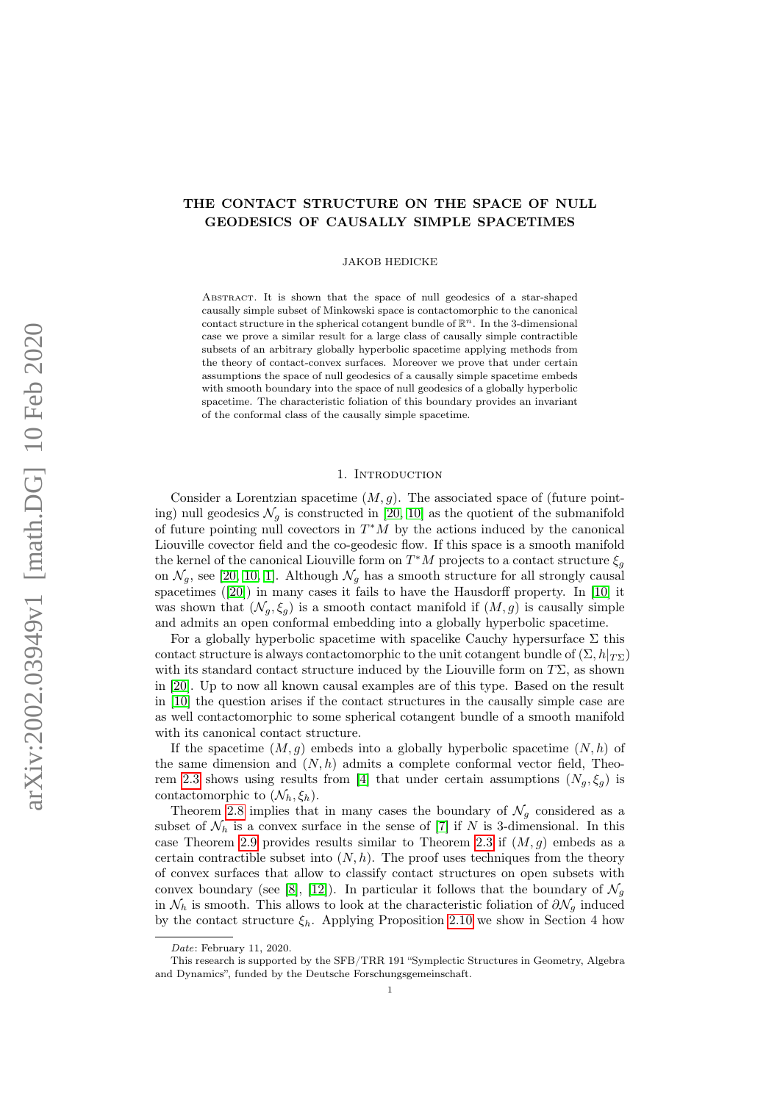# THE CONTACT STRUCTURE ON THE SPACE OF NULL GEODESICS OF CAUSALLY SIMPLE SPACETIMES

JAKOB HEDICKE

ABSTRACT. It is shown that the space of null geodesics of a star-shaped causally simple subset of Minkowski space is contactomorphic to the canonical contact structure in the spherical cotangent bundle of  $\mathbb{R}^n$ . In the 3-dimensional case we prove a similar result for a large class of causally simple contractible subsets of an arbitrary globally hyperbolic spacetime applying methods from the theory of contact-convex surfaces. Moreover we prove that under certain assumptions the space of null geodesics of a causally simple spacetime embeds with smooth boundary into the space of null geodesics of a globally hyperbolic spacetime. The characteristic foliation of this boundary provides an invariant of the conformal class of the causally simple spacetime.

### 1. Introduction

Consider a Lorentzian spacetime  $(M, g)$ . The associated space of (future pointing) null geodesics  $\mathcal{N}_g$  is constructed in [\[20,](#page-15-0) [10\]](#page-14-0) as the quotient of the submanifold of future pointing null covectors in  $T^*M$  by the actions induced by the canonical Liouville covector field and the co-geodesic flow. If this space is a smooth manifold the kernel of the canonical Liouville form on  $T^*M$  projects to a contact structure  $\xi_g$ on  $\mathcal{N}_g$ , see [\[20,](#page-15-0) [10,](#page-14-0) [1\]](#page-14-1). Although  $\mathcal{N}_g$  has a smooth structure for all strongly causal spacetimes ([\[20\]](#page-15-0)) in many cases it fails to have the Hausdorff property. In [\[10\]](#page-14-0) it was shown that  $(\mathcal{N}_q, \xi_q)$  is a smooth contact manifold if  $(M, g)$  is causally simple and admits an open conformal embedding into a globally hyperbolic spacetime.

For a globally hyperbolic spacetime with spacelike Cauchy hypersurface  $\Sigma$  this contact structure is always contactomorphic to the unit cotangent bundle of  $(\Sigma, h|_{T\Sigma})$ with its standard contact structure induced by the Liouville form on  $T\Sigma$ , as shown in [\[20\]](#page-15-0). Up to now all known causal examples are of this type. Based on the result in [\[10\]](#page-14-0) the question arises if the contact structures in the causally simple case are as well contactomorphic to some spherical cotangent bundle of a smooth manifold with its canonical contact structure.

If the spacetime  $(M, g)$  embeds into a globally hyperbolic spacetime  $(N, h)$  of the same dimension and  $(N, h)$  admits a complete conformal vector field, Theo-rem [2.3](#page-3-0) shows using results from [\[4\]](#page-14-2) that under certain assumptions  $(N_q, \xi_q)$  is contactomorphic to  $(\mathcal{N}_h, \xi_h)$ .

Theorem [2.8](#page-4-0) implies that in many cases the boundary of  $\mathcal{N}_g$  considered as a subset of  $\mathcal{N}_h$  is a convex surface in the sense of [\[7\]](#page-14-3) if N is 3-dimensional. In this case Theorem [2.9](#page-4-1) provides results similar to Theorem [2.3](#page-3-0) if  $(M, g)$  embeds as a certain contractible subset into  $(N, h)$ . The proof uses techniques from the theory of convex surfaces that allow to classify contact structures on open subsets with convex boundary (see [\[8\]](#page-14-4), [\[12\]](#page-14-5)). In particular it follows that the boundary of  $\mathcal{N}_q$ in  $\mathcal{N}_h$  is smooth. This allows to look at the characteristic foliation of  $\partial \mathcal{N}_g$  induced by the contact structure  $\xi_h$ . Applying Proposition [2.10](#page-5-0) we show in Section 4 how

Date: February 11, 2020.

This research is supported by the SFB/TRR 191 "Symplectic Structures in Geometry, Algebra and Dynamics", funded by the Deutsche Forschungsgemeinschaft.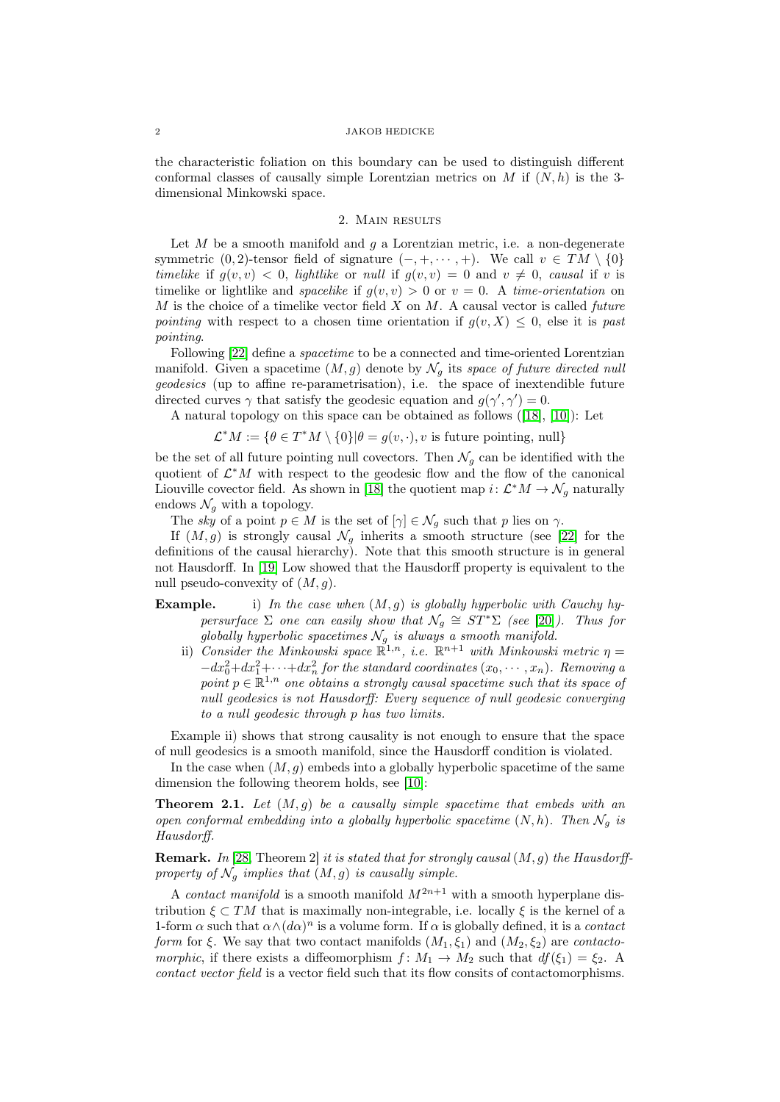the characteristic foliation on this boundary can be used to distinguish different conformal classes of causally simple Lorentzian metrics on M if  $(N, h)$  is the 3dimensional Minkowski space.

### 2. Main results

Let  $M$  be a smooth manifold and  $q$  a Lorentzian metric, i.e. a non-degenerate symmetric  $(0, 2)$ -tensor field of signature  $(-, +, \dots, +)$ . We call  $v \in TM \setminus \{0\}$ timelike if  $g(v, v) < 0$ , lightlike or null if  $g(v, v) = 0$  and  $v \neq 0$ , causal if v is timelike or lightlike and spacelike if  $g(v, v) > 0$  or  $v = 0$ . A time-orientation on  $M$  is the choice of a timelike vector field  $X$  on  $M$ . A causal vector is called future pointing with respect to a chosen time orientation if  $g(v, X) \leq 0$ , else it is past pointing.

Following [\[22\]](#page-15-1) define a *spacetime* to be a connected and time-oriented Lorentzian manifold. Given a spacetime  $(M, g)$  denote by  $\mathcal{N}_q$  its space of future directed null geodesics (up to affine re-parametrisation), i.e. the space of inextendible future directed curves  $\gamma$  that satisfy the geodesic equation and  $g(\gamma', \gamma') = 0$ .

A natural topology on this space can be obtained as follows ([\[18\]](#page-14-6), [\[10\]](#page-14-0)): Let

 $\mathcal{L}^*M := \{ \theta \in T^*M \setminus \{0\} | \theta = g(v, \cdot), v \text{ is future pointing, null} \}$ 

be the set of all future pointing null covectors. Then  $\mathcal{N}_q$  can be identified with the quotient of  $\mathcal{L}^*M$  with respect to the geodesic flow and the flow of the canonical Liouville covector field. As shown in [\[18\]](#page-14-6) the quotient map  $i: \mathcal{L}^*M \to \mathcal{N}_g$  naturally endows  $\mathcal{N}_g$  with a topology.

The sky of a point  $p \in M$  is the set of  $[\gamma] \in \mathcal{N}_g$  such that p lies on  $\gamma$ .

If  $(M, g)$  is strongly causal  $\mathcal{N}_g$  inherits a smooth structure (see [\[22\]](#page-15-1) for the definitions of the causal hierarchy). Note that this smooth structure is in general not Hausdorff. In [\[19\]](#page-14-7) Low showed that the Hausdorff property is equivalent to the null pseudo-convexity of  $(M, q)$ .

## **Example.** i) In the case when  $(M, g)$  is globally hyperbolic with Cauchy hypersurface  $\Sigma$  one can easily show that  $\mathcal{N}_g \cong ST^*\Sigma$  (see [\[20\]](#page-15-0)). Thus for globally hyperbolic spacetimes  $\mathcal{N}_g$  is always a smooth manifold.

ii) Consider the Minkowski space  $\mathbb{R}^{1,n}$ , i.e.  $\mathbb{R}^{n+1}$  with Minkowski metric  $\eta =$  $-dx_0^2+dx_1^2+\cdots+dx_n^2$  for the standard coordinates  $(x_0,\cdots,x_n)$ . Removing a point  $p \in \mathbb{R}^{1,n}$  one obtains a strongly causal spacetime such that its space of null geodesics is not Hausdorff: Every sequence of null geodesic converging to a null geodesic through p has two limits.

Example ii) shows that strong causality is not enough to ensure that the space of null geodesics is a smooth manifold, since the Hausdorff condition is violated.

In the case when  $(M, q)$  embeds into a globally hyperbolic spacetime of the same dimension the following theorem holds, see [\[10\]](#page-14-0):

**Theorem 2.1.** Let  $(M, g)$  be a causally simple spacetime that embeds with an open conformal embedding into a globally hyperbolic spacetime  $(N, h)$ . Then  $\mathcal{N}_q$  is Hausdorff.

**Remark.** In [\[28,](#page-15-2) Theorem 2] it is stated that for strongly causal  $(M, g)$  the Hausdorffproperty of  $\mathcal{N}_g$  implies that  $(M, g)$  is causally simple.

A *contact manifold* is a smooth manifold  $M^{2n+1}$  with a smooth hyperplane distribution  $\xi \subset TM$  that is maximally non-integrable, i.e. locally  $\xi$  is the kernel of a 1-form  $\alpha$  such that  $\alpha \wedge (d\alpha)^n$  is a volume form. If  $\alpha$  is globally defined, it is a *contact* form for  $\xi$ . We say that two contact manifolds  $(M_1, \xi_1)$  and  $(M_2, \xi_2)$  are contactomorphic, if there exists a diffeomorphism  $f: M_1 \to M_2$  such that  $df(\xi_1) = \xi_2$ . contact vector field is a vector field such that its flow consits of contactomorphisms.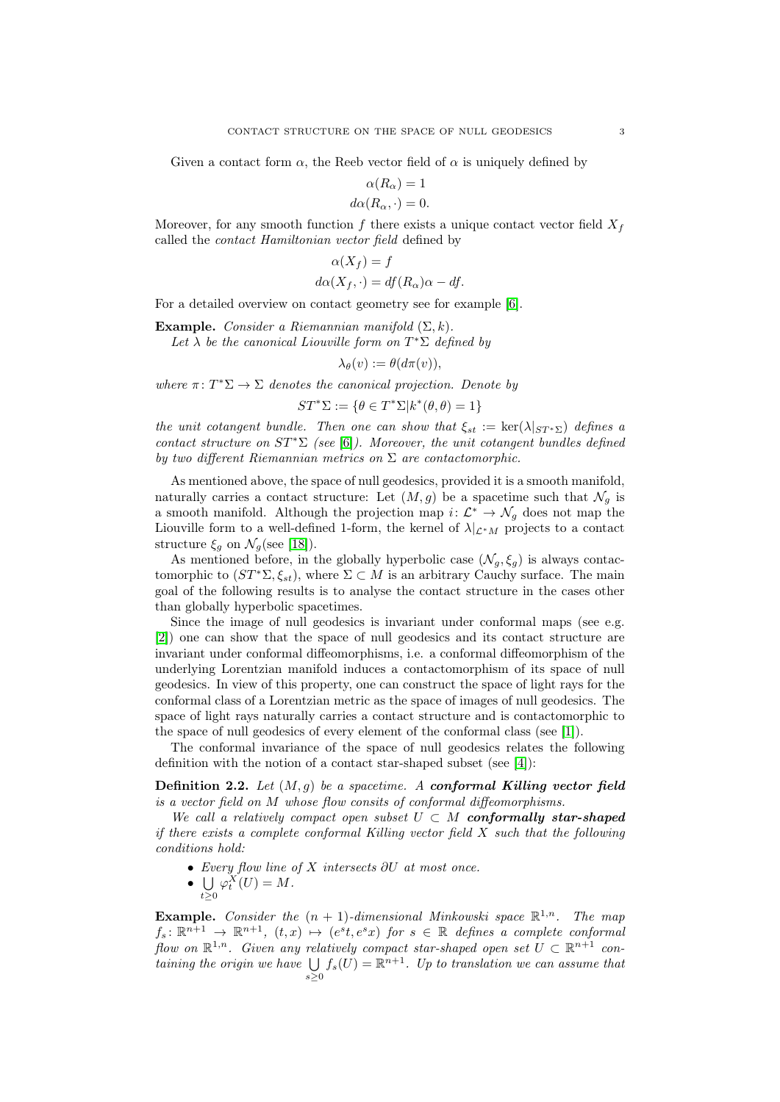Given a contact form  $\alpha$ , the Reeb vector field of  $\alpha$  is uniquely defined by

$$
\alpha(R_{\alpha}) = 1
$$

$$
d\alpha(R_{\alpha}, \cdot) = 0
$$

Moreover, for any smooth function f there exists a unique contact vector field  $X_f$ called the contact Hamiltonian vector field defined by

$$
\alpha(X_f) = f
$$
  

$$
d\alpha(X_f, \cdot) = df(R_\alpha)\alpha - df.
$$

For a detailed overview on contact geometry see for example [\[6\]](#page-14-8).

Example. Consider a Riemannian manifold  $(\Sigma, k)$ .

Let  $\lambda$  be the canonical Liouville form on  $T^*\Sigma$  defined by

$$
\lambda_{\theta}(v) := \theta(d\pi(v)),
$$

where  $\pi: T^*\Sigma \to \Sigma$  denotes the canonical projection. Denote by

$$
ST^*\Sigma := \{\theta \in T^*\Sigma | k^*(\theta, \theta) = 1\}
$$

the unit cotangent bundle. Then one can show that  $\xi_{st} := \text{ker}(\lambda|_{ST^*S})$  defines a contact structure on  $ST^*\Sigma$  (see [\[6\]](#page-14-8)). Moreover, the unit cotangent bundles defined by two different Riemannian metrics on  $\Sigma$  are contactomorphic.

As mentioned above, the space of null geodesics, provided it is a smooth manifold, naturally carries a contact structure: Let  $(M, g)$  be a spacetime such that  $\mathcal{N}_q$  is a smooth manifold. Although the projection map  $i: \mathcal{L}^* \to \mathcal{N}_g$  does not map the Liouville form to a well-defined 1-form, the kernel of  $\lambda|_{\mathcal{L}^*M}$  projects to a contact structure  $\xi_q$  on  $\mathcal{N}_q$ (see [\[18\]](#page-14-6)).

As mentioned before, in the globally hyperbolic case  $(\mathcal{N}_g, \xi_g)$  is always contactomorphic to  $(ST^*\Sigma, \xi_{st})$ , where  $\Sigma \subset M$  is an arbitrary Cauchy surface. The main goal of the following results is to analyse the contact structure in the cases other than globally hyperbolic spacetimes.

Since the image of null geodesics is invariant under conformal maps (see e.g. [\[2\]](#page-14-9)) one can show that the space of null geodesics and its contact structure are invariant under conformal diffeomorphisms, i.e. a conformal diffeomorphism of the underlying Lorentzian manifold induces a contactomorphism of its space of null geodesics. In view of this property, one can construct the space of light rays for the conformal class of a Lorentzian metric as the space of images of null geodesics. The space of light rays naturally carries a contact structure and is contactomorphic to the space of null geodesics of every element of the conformal class (see [\[1\]](#page-14-1)).

The conformal invariance of the space of null geodesics relates the following definition with the notion of a contact star-shaped subset (see [\[4\]](#page-14-2)):

<span id="page-2-0"></span>**Definition 2.2.** Let  $(M, q)$  be a spacetime. A conformal Killing vector field is a vector field on M whose flow consits of conformal diffeomorphisms.

We call a relatively compact open subset  $U \subset M$  conformally star-shaped if there exists a complete conformal Killing vector field X such that the following conditions hold:

- Every flow line of  $X$  intersects  $\partial U$  at most once.
- $\bullet$  U  $\varphi_t^X(U) = M.$

 $t\geq 0$ 

**Example.** Consider the  $(n + 1)$ -dimensional Minkowski space  $\mathbb{R}^{1,n}$ . The map  $f_s \colon \mathbb{R}^{n+1} \to \mathbb{R}^{n+1}$ ,  $(t, x) \mapsto (e^s t, e^s x)$  for  $s \in \mathbb{R}$  defines a complete conformal flow on  $\mathbb{R}^{1,n}$ . Given any relatively compact star-shaped open set  $U \subset \mathbb{R}^{n+1}$  containing the origin we have  $\bigcup f_s(U) = \mathbb{R}^{n+1}$ . Up to translation we can assume that  $s>0$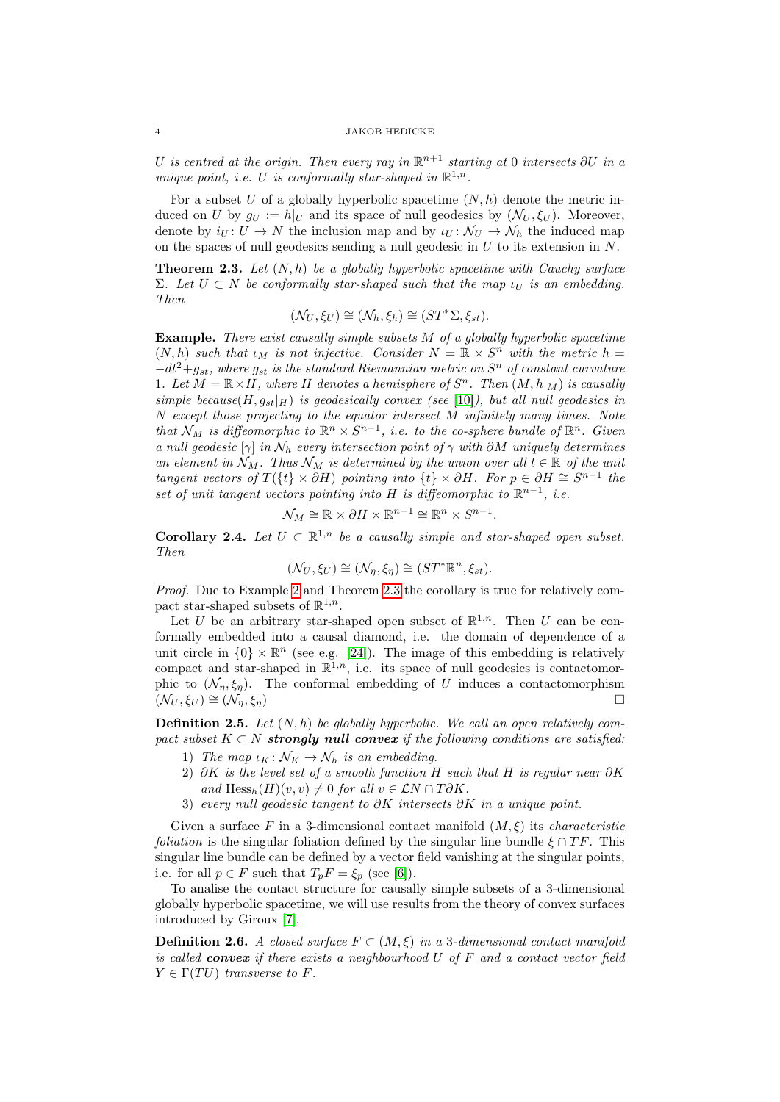U is centred at the origin. Then every ray in  $\mathbb{R}^{n+1}$  starting at 0 intersects  $\partial U$  in a unique point, i.e. U is conformally star-shaped in  $\mathbb{R}^{1,n}$ .

For a subset U of a globally hyperbolic spacetime  $(N, h)$  denote the metric induced on U by  $g_U := h|_U$  and its space of null geodesics by  $(\mathcal{N}_U, \xi_U)$ . Moreover, denote by  $i_U: U \to N$  the inclusion map and by  $i_U: \mathcal{N}_U \to \mathcal{N}_h$  the induced map on the spaces of null geodesics sending a null geodesic in  $U$  to its extension in  $N$ .

<span id="page-3-0"></span>**Theorem 2.3.** Let  $(N, h)$  be a globally hyperbolic spacetime with Cauchy surface Σ. Let  $U ⊂ N$  be conformally star-shaped such that the map  $ι<sub>U</sub>$  is an embedding. Then

$$
(\mathcal{N}_U, \xi_U) \cong (\mathcal{N}_h, \xi_h) \cong (ST^* \Sigma, \xi_{st}).
$$

Example. There exist causally simple subsets M of a globally hyperbolic spacetime  $(N, h)$  such that  $\iota_M$  is not injective. Consider  $N = \mathbb{R} \times S^n$  with the metric  $h =$  $-dt^2+g_{st}$ , where  $g_{st}$  is the standard Riemannian metric on  $S^n$  of constant curvature 1. Let  $M = \mathbb{R} \times H$ , where H denotes a hemisphere of  $S<sup>n</sup>$ . Then  $(M, h|_M)$  is causally simple because  $(H, g_{st}|_H)$  is geodesically convex (see [\[10\]](#page-14-0)), but all null geodesics in N except those projecting to the equator intersect M infinitely many times. Note that  $\mathcal{N}_M$  is diffeomorphic to  $\mathbb{R}^n \times S^{n-1}$ , i.e. to the co-sphere bundle of  $\mathbb{R}^n$ . Given a null geodesic  $[\gamma]$  in  $\mathcal{N}_h$  every intersection point of  $\gamma$  with  $\partial M$  uniquely determines an element in  $\mathcal{N}_M$ . Thus  $\mathcal{N}_M$  is determined by the union over all  $t \in \mathbb{R}$  of the unit tangent vectors of  $T({t} \times \partial H)$  pointing into  ${t} \times \partial H$ . For  $p \in \partial H \cong S^{n-1}$  the set of unit tangent vectors pointing into H is diffeomorphic to  $\mathbb{R}^{n-1}$ , i.e.

$$
\mathcal{N}_M \cong \mathbb{R} \times \partial H \times \mathbb{R}^{n-1} \cong \mathbb{R}^n \times S^{n-1}.
$$

**Corollary 2.4.** Let  $U \subset \mathbb{R}^{1,n}$  be a causally simple and star-shaped open subset. Then

$$
(\mathcal{N}_U, \xi_U) \cong (\mathcal{N}_\eta, \xi_\eta) \cong (ST^* \mathbb{R}^n, \xi_{st}).
$$

Proof. Due to Example [2](#page-2-0) and Theorem [2.3](#page-3-0) the corollary is true for relatively compact star-shaped subsets of  $\mathbb{R}^{1,n}$ .

Let U be an arbitrary star-shaped open subset of  $\mathbb{R}^{1,n}$ . Then U can be conformally embedded into a causal diamond, i.e. the domain of dependence of a unit circle in  $\{0\} \times \mathbb{R}^n$  (see e.g. [\[24\]](#page-15-3)). The image of this embedding is relatively compact and star-shaped in  $\mathbb{R}^{1,n}$ , i.e. its space of null geodesics is contactomorphic to  $(\mathcal{N}_n, \xi_n)$ . The conformal embedding of U induces a contactomorphism  $(\mathcal{N}_U, \xi_U) \cong (\mathcal{N}_n, \xi_n)$ 

<span id="page-3-1"></span>**Definition 2.5.** Let  $(N, h)$  be globally hyperbolic. We call an open relatively compact subset  $K \subset N$  strongly null convex if the following conditions are satisfied:

- 1) The map  $\iota_K \colon \mathcal{N}_K \to \mathcal{N}_h$  is an embedding.
- 2) ∂K is the level set of a smooth function H such that H is regular near  $\partial K$ and  $\text{Hess}_h(H)(v, v) \neq 0$  for all  $v \in \mathcal{L}N \cap T\partial K$ .
- 3) every null geodesic tangent to  $\partial K$  intersects  $\partial K$  in a unique point.

Given a surface F in a 3-dimensional contact manifold  $(M, \xi)$  its *characteristic foliation* is the singular foliation defined by the singular line bundle  $\xi \cap TF$ . This singular line bundle can be defined by a vector field vanishing at the singular points, i.e. for all  $p \in F$  such that  $T_p F = \xi_p$  (see [\[6\]](#page-14-8)).

To analise the contact structure for causally simple subsets of a 3-dimensional globally hyperbolic spacetime, we will use results from the theory of convex surfaces introduced by Giroux [\[7\]](#page-14-3).

**Definition 2.6.** A closed surface  $F \subset (M, \xi)$  in a 3-dimensional contact manifold is called **convex** if there exists a neighbourhood U of F and a contact vector field  $Y \in \Gamma(TU)$  transverse to F.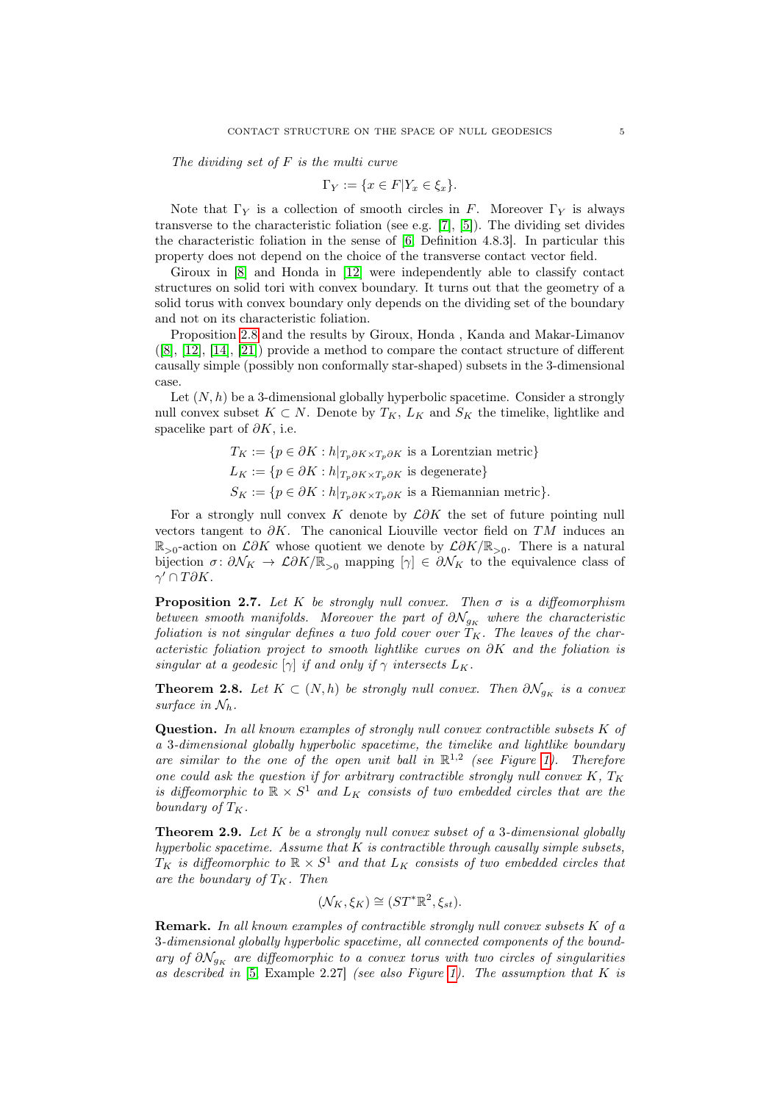The dividing set of  $F$  is the multi curve

$$
\Gamma_Y := \{ x \in F | Y_x \in \xi_x \}.
$$

Note that  $\Gamma_Y$  is a collection of smooth circles in F. Moreover  $\Gamma_Y$  is always transverse to the characteristic foliation (see e.g. [\[7\]](#page-14-3), [\[5\]](#page-14-10)). The dividing set divides the characteristic foliation in the sense of [\[6,](#page-14-8) Definition 4.8.3]. In particular this property does not depend on the choice of the transverse contact vector field.

Giroux in [\[8\]](#page-14-4) and Honda in [\[12\]](#page-14-5) were independently able to classify contact structures on solid tori with convex boundary. It turns out that the geometry of a solid torus with convex boundary only depends on the dividing set of the boundary and not on its characteristic foliation.

Proposition [2.8](#page-4-0) and the results by Giroux, Honda , Kanda and Makar-Limanov ([\[8\]](#page-14-4), [\[12\]](#page-14-5), [\[14\]](#page-14-11), [\[21\]](#page-15-4)) provide a method to compare the contact structure of different causally simple (possibly non conformally star-shaped) subsets in the 3-dimensional case.

Let  $(N, h)$  be a 3-dimensional globally hyperbolic spacetime. Consider a strongly null convex subset  $K \subset N$ . Denote by  $T_K$ ,  $L_K$  and  $S_K$  the timelike, lightlike and spacelike part of  $\partial K$ , i.e.

$$
T_K := \{ p \in \partial K : h|_{T_p \partial K \times T_p \partial K}
$$
 is a Lorentzian metric}  
\n
$$
L_K := \{ p \in \partial K : h|_{T_p \partial K \times T_p \partial K}
$$
 is degenerate}  
\n
$$
S_K := \{ p \in \partial K : h|_{T_p \partial K \times T_p \partial K}
$$
 is a Riemannian metric $\}.$ 

For a strongly null convex K denote by  $\mathcal{L}\partial K$  the set of future pointing null vectors tangent to  $\partial K$ . The canonical Liouville vector field on TM induces an  $\mathbb{R}_{>0}$ -action on  $\mathcal{L}\partial K$  whose quotient we denote by  $\mathcal{L}\partial K/\mathbb{R}_{>0}$ . There is a natural bijection  $\sigma: \partial \mathcal{N}_K \to \mathcal{L} \partial K / \mathbb{R}_{>0}$  mapping  $[\gamma] \in \partial \mathcal{N}_K$  to the equivalence class of  $\gamma' \cap T\partial K.$ 

<span id="page-4-2"></span>**Proposition 2.7.** Let K be strongly null convex. Then  $\sigma$  is a diffeomorphism between smooth manifolds. Moreover the part of  $\partial \mathcal{N}_{g_K}$  where the characteristic foliation is not singular defines a two fold cover over  $T_K$ . The leaves of the characteristic foliation project to smooth lightlike curves on ∂K and the foliation is singular at a geodesic  $[\gamma]$  if and only if  $\gamma$  intersects  $L_K$ .

<span id="page-4-0"></span>**Theorem 2.8.** Let  $K \subset (N, h)$  be strongly null convex. Then  $\partial \mathcal{N}_{g_K}$  is a convex surface in  $\mathcal{N}_h$ .

Question. In all known examples of strongly null convex contractible subsets K of a 3-dimensional globally hyperbolic spacetime, the timelike and lightlike boundary are similar to the one of the open unit ball in  $\mathbb{R}^{1,2}$  (see Figure [1\)](#page-10-0). Therefore one could ask the question if for arbitrary contractible strongly null convex  $K$ ,  $T_K$ is diffeomorphic to  $\mathbb{R} \times S^1$  and  $L_K$  consists of two embedded circles that are the boundary of  $T_K$ .

<span id="page-4-1"></span>**Theorem 2.9.** Let  $K$  be a strongly null convex subset of a 3-dimensional globally hyperbolic spacetime. Assume that  $K$  is contractible through causally simple subsets,  $T_K$  is diffeomorphic to  $\mathbb{R} \times S^1$  and that  $L_K$  consists of two embedded circles that are the boundary of  $T_K$ . Then

$$
(\mathcal{N}_K, \xi_K) \cong (ST^*\mathbb{R}^2, \xi_{st}).
$$

**Remark.** In all known examples of contractible strongly null convex subsets  $K$  of a 3-dimensional globally hyperbolic spacetime, all connected components of the boundary of  $\partial \mathcal{N}_{q_K}$  are diffeomorphic to a convex torus with two circles of singularities as described in  $[5, \text{Example } 2.27]$  $[5, \text{Example } 2.27]$  (see also Figure [1\)](#page-10-0). The assumption that K is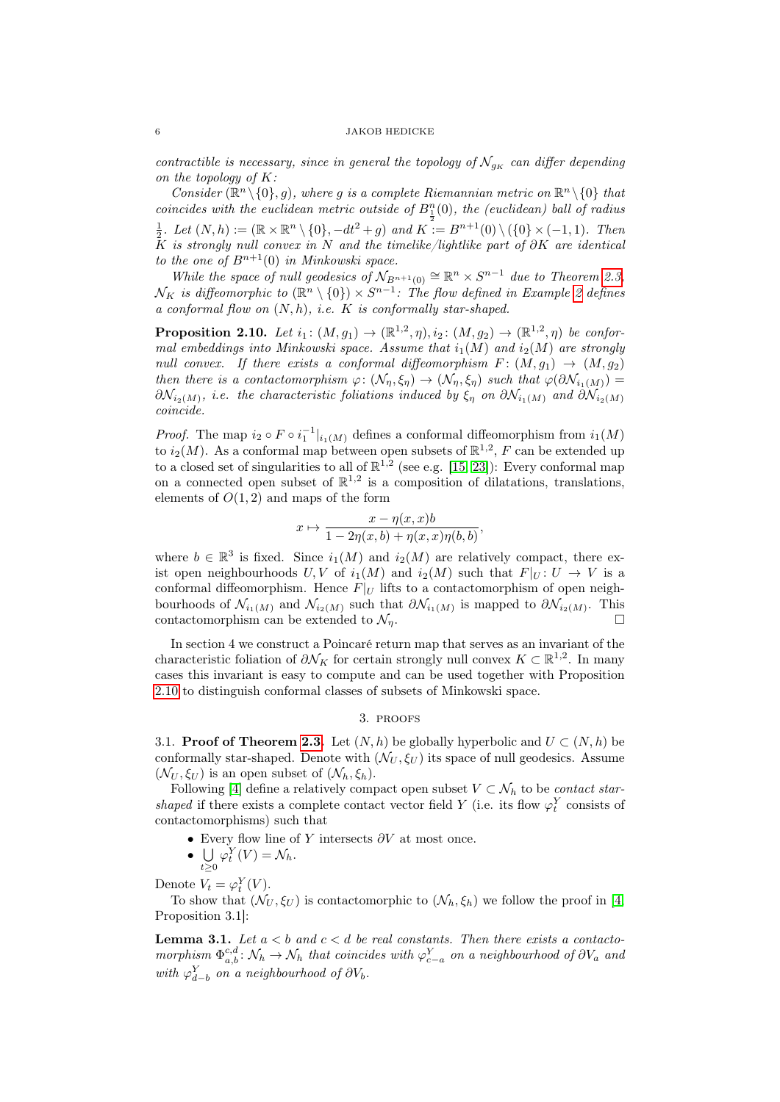contractible is necessary, since in general the topology of  $\mathcal{N}_{g_K}$  can differ depending on the topology of  $K$ :

Consider  $(\mathbb{R}^n \setminus \{0\}, g)$ , where g is a complete Riemannian metric on  $\mathbb{R}^n \setminus \{0\}$  that coincides with the euclidean metric outside of  $B_1^n(0)$ , the (euclidean) ball of radius  $\frac{1}{2}$ . Let  $(N, h) := (\mathbb{R} \times \mathbb{R}^n \setminus \{0\}, -dt^2 + g)$  and  $K^2 := B^{n+1}(0) \setminus (\{0\} \times (-1, 1)$ . Then K is strongly null convex in N and the timelike/lightlike part of  $\partial K$  are identical to the one of  $B^{n+1}(0)$  in Minkowski space.

While the space of null geodesics of  $\mathcal{N}_{B^{n+1}(0)} \cong \mathbb{R}^n \times S^{n-1}$  due to Theorem [2.3,](#page-3-0)  $\mathcal{N}_K$  is diffeomorphic to  $(\mathbb{R}^n \setminus \{0\}) \times S^{n-1}$ : The flow defined in Example [2](#page-2-0) defines a conformal flow on  $(N, h)$ , i.e.  $K$  is conformally star-shaped.

<span id="page-5-0"></span>**Proposition 2.10.** Let  $i_1: (M, g_1) \to (\mathbb{R}^{1,2}, \eta), i_2: (M, g_2) \to (\mathbb{R}^{1,2}, \eta)$  be conformal embeddings into Minkowski space. Assume that  $i_1(M)$  and  $i_2(M)$  are strongly null convex. If there exists a conformal diffeomorphism  $F: (M, g_1) \rightarrow (M, g_2)$ then there is a contactomorphism  $\varphi: (\mathcal{N}_\eta, \xi_\eta) \to (\mathcal{N}_\eta, \xi_\eta)$  such that  $\varphi(\partial \mathcal{N}_{i_1(M)}) =$  $\partial \mathcal{N}_{i_2(M)}$ , i.e. the characteristic foliations induced by  $\xi_\eta$  on  $\partial \mathcal{N}_{i_1(M)}$  and  $\partial \mathcal{N}_{i_2(M)}$ coincide.

*Proof.* The map  $i_2 \circ F \circ i_1^{-1}|_{i_1(M)}$  defines a conformal diffeomorphism from  $i_1(M)$ to  $i_2(M)$ . As a conformal map between open subsets of  $\mathbb{R}^{1,2}$ , F can be extended up to a closed set of singularities to all of  $\mathbb{R}^{1,2}$  (see e.g. [\[15,](#page-14-12) [23\]](#page-15-5)): Every conformal map on a connected open subset of  $\mathbb{R}^{1,2}$  is a composition of dilatations, translations, elements of  $O(1, 2)$  and maps of the form

$$
x \mapsto \frac{x - \eta(x, x)b}{1 - 2\eta(x, b) + \eta(x, x)\eta(b, b)},
$$

where  $b \in \mathbb{R}^3$  is fixed. Since  $i_1(M)$  and  $i_2(M)$  are relatively compact, there exist open neighbourhoods  $U, V$  of  $i_1(M)$  and  $i_2(M)$  such that  $F|_U : U \to V$  is a conformal diffeomorphism. Hence  $F|_U$  lifts to a contactomorphism of open neighbourhoods of  $\mathcal{N}_{i_1(M)}$  and  $\mathcal{N}_{i_2(M)}$  such that  $\partial \mathcal{N}_{i_1(M)}$  is mapped to  $\partial \mathcal{N}_{i_2(M)}$ . This contactomorphism can be extended to  $\mathcal{N}_n$ .

In section 4 we construct a Poincaré return map that serves as an invariant of the characteristic foliation of  $\partial \mathcal{N}_K$  for certain strongly null convex  $K \subset \mathbb{R}^{1,2}$ . In many cases this invariant is easy to compute and can be used together with Proposition [2.10](#page-5-0) to distinguish conformal classes of subsets of Minkowski space.

#### 3. proofs

3.1. **Proof of Theorem [2.3.](#page-3-0)** Let  $(N, h)$  be globally hyperbolic and  $U \subset (N, h)$  be conformally star-shaped. Denote with  $(\mathcal{N}_U, \xi_U)$  its space of null geodesics. Assume  $(\mathcal{N}_U, \xi_U)$  is an open subset of  $(\mathcal{N}_h, \xi_h)$ .

Following [\[4\]](#page-14-2) define a relatively compact open subset  $V \subset \mathcal{N}_h$  to be *contact star*shaped if there exists a complete contact vector field Y (i.e. its flow  $\varphi_t^Y$  consists of contactomorphisms) such that

- Every flow line of Y intersects  $\partial V$  at most once.
- $\bullet$   $\cup$  $\varphi_t^Y(V) = \mathcal{N}_h.$

 $t\geq 0$ Denote  $V_t = \varphi_t^Y(V)$ .

To show that  $(\mathcal{N}_U, \xi_U)$  is contactomorphic to  $(\mathcal{N}_h, \xi_h)$  we follow the proof in [\[4,](#page-14-2) Proposition 3.1]:

**Lemma 3.1.** Let  $a < b$  and  $c < d$  be real constants. Then there exists a contactomorphism  $\Phi_{a,b}^{c,d} : \mathcal{N}_h \to \mathcal{N}_h$  that coincides with  $\varphi_{c-a}^Y$  on a neighbourhood of  $\partial V_a$  and with  $\varphi_{d-b}^Y$  on a neighbourhood of  $\partial V_b$ .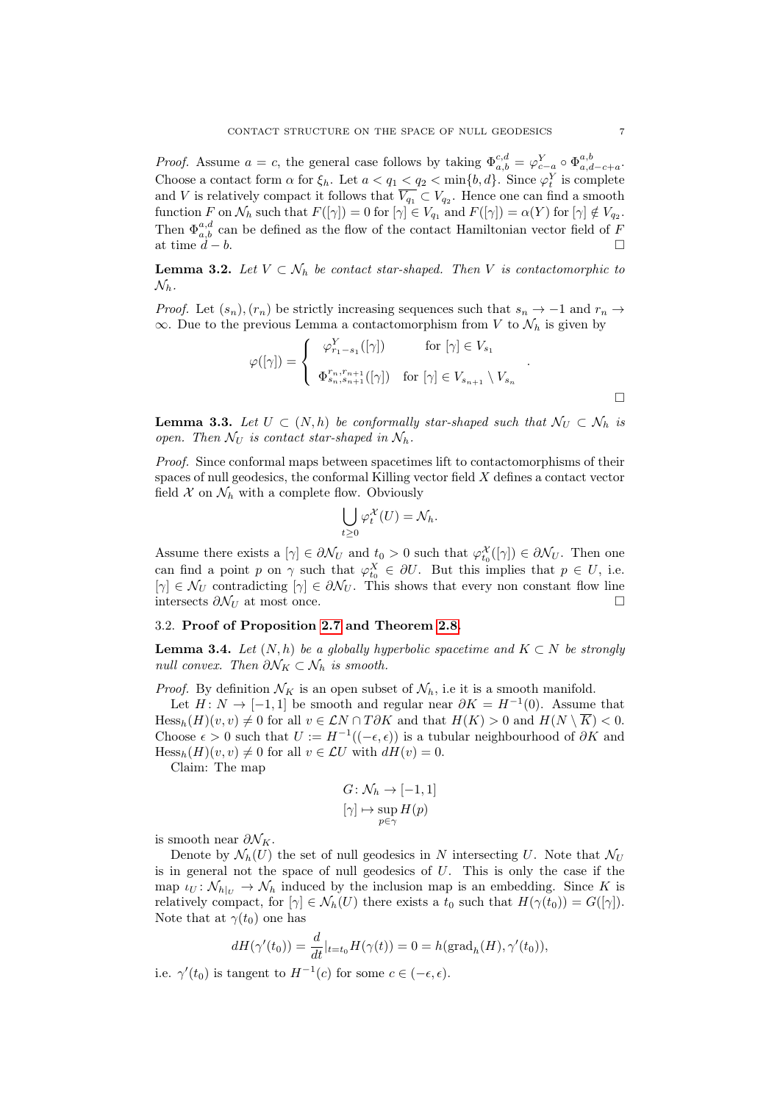*Proof.* Assume  $a = c$ , the general case follows by taking  $\Phi_{a,b}^{c,d} = \varphi_{c-a}^{Y} \circ \Phi_{a,d-c+a}^{a,b}$ . Choose a contact form  $\alpha$  for  $\xi_h$ . Let  $a < q_1 < q_2 < \min\{b, d\}$ . Since  $\varphi_t^Y$  is complete and V is relatively compact it follows that  $V_{q_1} \subset V_{q_2}$ . Hence one can find a smooth function F on  $\mathcal{N}_h$  such that  $F([\gamma]) = 0$  for  $[\gamma] \in V_{q_1}$  and  $F([\gamma]) = \alpha(Y)$  for  $[\gamma] \notin V_{q_2}$ . Then  $\Phi_{a,b}^{a,d}$  can be defined as the flow of the contact Hamiltonian vector field of F at time  $d - b$ .

**Lemma 3.2.** Let  $V \subset \mathcal{N}_h$  be contact star-shaped. Then V is contactomorphic to  $\mathcal{N}_h$ .

*Proof.* Let  $(s_n)$ ,  $(r_n)$  be strictly increasing sequences such that  $s_n \to -1$  and  $r_n \to$  $\infty$ . Due to the previous Lemma a contactomorphism from V to  $\mathcal{N}_h$  is given by

$$
\varphi([\gamma]) = \begin{cases} \varphi_{r_1-s_1}^Y([\gamma]) & \text{for } [\gamma] \in V_{s_1} \\ \Phi_{s_n,s_{n+1}}^{r_n,r_{n+1}}([\gamma]) & \text{for } [\gamma] \in V_{s_{n+1}} \setminus V_{s_n} \end{cases}.
$$

**Lemma 3.3.** Let  $U \subset (N, h)$  be conformally star-shaped such that  $\mathcal{N}_U \subset \mathcal{N}_h$  is open. Then  $\mathcal{N}_U$  is contact star-shaped in  $\mathcal{N}_h$ .

Proof. Since conformal maps between spacetimes lift to contactomorphisms of their spaces of null geodesics, the conformal Killing vector field X defines a contact vector field  $\mathcal X$  on  $\mathcal N_h$  with a complete flow. Obviously

$$
\bigcup_{t\geq 0}\varphi_t^{\mathcal{X}}(U)=\mathcal{N}_h.
$$

Assume there exists a  $[\gamma] \in \partial \mathcal{N}_U$  and  $t_0 > 0$  such that  $\varphi_{t_0}^{\mathcal{X}}([\gamma]) \in \partial \mathcal{N}_U$ . Then one can find a point p on  $\gamma$  such that  $\varphi_{t_0}^X \in \partial U$ . But this implies that  $p \in U$ , i.e.  $[\gamma] \in \mathcal{N}_U$  contradicting  $[\gamma] \in \partial \mathcal{N}_U$ . This shows that every non constant flow line intersects  $\partial \mathcal{N}_U$  at most once.

## 3.2. Proof of Proposition [2.7](#page-4-2) and Theorem [2.8.](#page-4-0)

<span id="page-6-0"></span>**Lemma 3.4.** Let  $(N, h)$  be a globally hyperbolic spacetime and  $K \subset N$  be strongly null convex. Then  $\partial \mathcal{N}_K \subset \mathcal{N}_h$  is smooth.

*Proof.* By definition  $\mathcal{N}_K$  is an open subset of  $\mathcal{N}_h$ , i.e it is a smooth manifold.

Let  $H: N \to [-1,1]$  be smooth and regular near  $\partial K = H^{-1}(0)$ . Assume that  $Hess_h(H)(v, v) \neq 0$  for all  $v \in \mathcal{L}N \cap T\partial K$  and that  $H(K) > 0$  and  $H(N \setminus \overline{K}) < 0$ . Choose  $\epsilon > 0$  such that  $U := H^{-1}((-\epsilon, \epsilon))$  is a tubular neighbourhood of  $\partial K$  and  $Hess_h(H)(v, v) \neq 0$  for all  $v \in \mathcal{L}U$  with  $dH(v) = 0$ .

Claim: The map

$$
G \colon \mathcal{N}_h \to [-1, 1]
$$

$$
[\gamma] \mapsto \sup_{p \in \gamma} H(p)
$$

is smooth near  $\partial \mathcal{N}_K$ .

Denote by  $\mathcal{N}_h(U)$  the set of null geodesics in N intersecting U. Note that  $\mathcal{N}_U$ is in general not the space of null geodesics of  $U$ . This is only the case if the map  $\iota_U \colon \mathcal{N}_{h|_U} \to \mathcal{N}_h$  induced by the inclusion map is an embedding. Since K is relatively compact, for  $[\gamma] \in \mathcal{N}_h(U)$  there exists a  $t_0$  such that  $H(\gamma(t_0)) = G([\gamma])$ . Note that at  $\gamma(t_0)$  one has

$$
dH(\gamma'(t_0)) = \frac{d}{dt}|_{t=t_0} H(\gamma(t)) = 0 = h(\text{grad}_h(H), \gamma'(t_0)),
$$

i.e.  $\gamma'(t_0)$  is tangent to  $H^{-1}(c)$  for some  $c \in (-\epsilon, \epsilon)$ .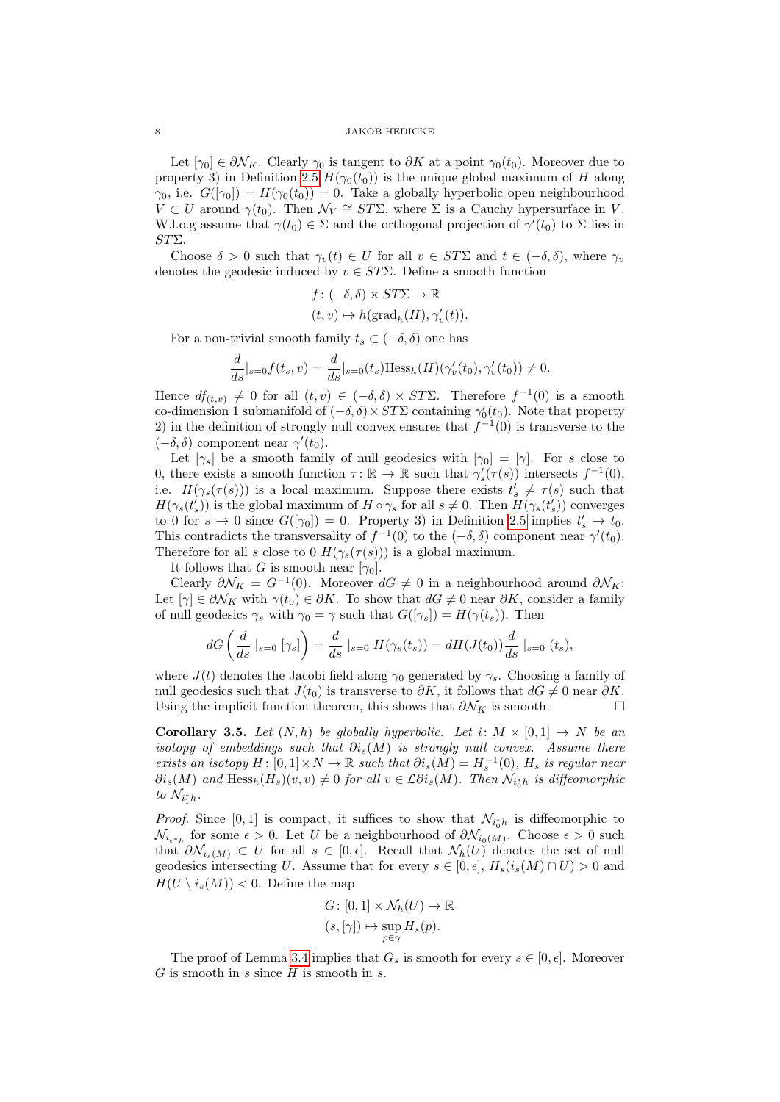Let  $[\gamma_0] \in \partial \mathcal{N}_K$ . Clearly  $\gamma_0$  is tangent to  $\partial K$  at a point  $\gamma_0(t_0)$ . Moreover due to property 3) in Definition [2.5](#page-3-1)  $H(\gamma_0(t_0))$  is the unique global maximum of H along  $\gamma_0$ , i.e.  $G([\gamma_0]) = H(\gamma_0(t_0)) = 0$ . Take a globally hyperbolic open neighbourhood  $V \subset U$  around  $\gamma(t_0)$ . Then  $\mathcal{N}_V \cong ST\Sigma$ , where  $\Sigma$  is a Cauchy hypersurface in V. W.l.o.g assume that  $\gamma(t_0) \in \Sigma$  and the orthogonal projection of  $\gamma'(t_0)$  to  $\Sigma$  lies in STΣ.

Choose  $\delta > 0$  such that  $\gamma_v(t) \in U$  for all  $v \in ST\Sigma$  and  $t \in (-\delta, \delta)$ , where  $\gamma_v$ denotes the geodesic induced by  $v \in ST\Sigma$ . Define a smooth function

$$
\begin{aligned} &f\colon (-\delta,\delta)\times ST\Sigma\to\mathbb{R} \\ & (t,v)\mapsto h(\mathrm{grad}_h(H),\gamma'_v(t)). \end{aligned}
$$

For a non-trivial smooth family  $t_s \subset (-\delta, \delta)$  one has

$$
\frac{d}{ds}|_{s=0}f(t_s, v) = \frac{d}{ds}|_{s=0}(t_s) \text{Hess}_h(H)(\gamma'_v(t_0), \gamma'_v(t_0)) \neq 0.
$$

Hence  $df_{(t,v)} \neq 0$  for all  $(t, v) \in (-\delta, \delta) \times ST\Sigma$ . Therefore  $f^{-1}(0)$  is a smooth co-dimension 1 submanifold of  $(-\delta, \delta) \times ST\Sigma$  containing  $\gamma'_0(t_0)$ . Note that property 2) in the definition of strongly null convex ensures that  $f^{-1}(0)$  is transverse to the  $(-\delta, \delta)$  component near  $\gamma'(t_0)$ .

Let  $[\gamma_s]$  be a smooth family of null geodesics with  $[\gamma_0] = [\gamma]$ . For s close to 0, there exists a smooth function  $\tau \colon \mathbb{R} \to \mathbb{R}$  such that  $\gamma_s'(\tau(s))$  intersects  $f^{-1}(0)$ , i.e.  $H(\gamma_s(\tau(s)))$  is a local maximum. Suppose there exists  $t'_s \neq \tau(s)$  such that  $H(\gamma_s(t'_s))$  is the global maximum of  $H \circ \gamma_s$  for all  $s \neq 0$ . Then  $H(\gamma_s(t'_s))$  converges to 0 for  $s \to 0$  since  $G([\gamma_0]) = 0$ . Property 3) in Definition [2.5](#page-3-1) implies  $t_s' \to t_0$ . This contradicts the transversality of  $f^{-1}(0)$  to the  $(-\delta, \delta)$  component near  $\gamma'(t_0)$ . Therefore for all s close to 0  $H(\gamma_s(\tau(s)))$  is a global maximum.

It follows that G is smooth near  $[\gamma_0]$ .

Clearly  $\partial \mathcal{N}_K = G^{-1}(0)$ . Moreover  $dG \neq 0$  in a neighbourhood around  $\partial \mathcal{N}_K$ : Let  $[\gamma] \in \partial \mathcal{N}_K$  with  $\gamma(t_0) \in \partial K$ . To show that  $dG \neq 0$  near  $\partial K$ , consider a family of null geodesics  $\gamma_s$  with  $\gamma_0 = \gamma$  such that  $G([\gamma_s]) = H(\gamma(t_s))$ . Then

$$
dG\left(\frac{d}{ds}|_{s=0} [\gamma_s]\right) = \frac{d}{ds}|_{s=0} H(\gamma_s(t_s)) = dH(J(t_0))\frac{d}{ds}|_{s=0} (t_s),
$$

where  $J(t)$  denotes the Jacobi field along  $\gamma_0$  generated by  $\gamma_s$ . Choosing a family of null geodesics such that  $J(t_0)$  is transverse to  $\partial K$ , it follows that  $dG \neq 0$  near  $\partial K$ . Using the implicit function theorem, this shows that  $\partial \mathcal{N}_K$  is smooth.  $\square$ 

**Corollary 3.5.** Let  $(N, h)$  be globally hyperbolic. Let  $i: M \times [0, 1] \rightarrow N$  be an isotopy of embeddings such that  $\partial i_s(M)$  is strongly null convex. Assume there exists an isotopy  $H: [0,1] \times N \to \mathbb{R}$  such that  $\partial i_s(M) = H_s^{-1}(0)$ ,  $H_s$  is regular near  $\partial i_s(M)$  and  $Hess_h(H_s)(v, v) \neq 0$  for all  $v \in \mathcal{L} \partial i_s(M)$ . Then  $\mathcal{N}_{i_0^*h}$  is diffeomorphic to  $\mathcal{N}_{i_1^*h}$ .

*Proof.* Since [0, 1] is compact, it suffices to show that  $\mathcal{N}_{i_0^*h}$  is diffeomorphic to  $\mathcal{N}_{i_{\epsilon} *_{h}}$  for some  $\epsilon > 0$ . Let U be a neighbourhood of  $\partial \mathcal{N}_{i_{0}(M)}$ . Choose  $\epsilon > 0$  such that  $\partial \mathcal{N}_{i_s(M)} \subset U$  for all  $s \in [0, \epsilon]$ . Recall that  $\mathcal{N}_h(U)$  denotes the set of null geodesics intersecting U. Assume that for every  $s \in [0, \epsilon], H_s(i_s(M) \cap U) > 0$  and  $H(U \setminus \overline{i_s(M)}) < 0$ . Define the map

$$
G: [0,1] \times \mathcal{N}_h(U) \to \mathbb{R}
$$

$$
(s,[\gamma]) \mapsto \sup_{p \in \gamma} H_s(p).
$$

The proof of Lemma [3.4](#page-6-0) implies that  $G_s$  is smooth for every  $s \in [0, \epsilon]$ . Moreover  $G$  is smooth in  $s$  since  $H$  is smooth in  $s$ .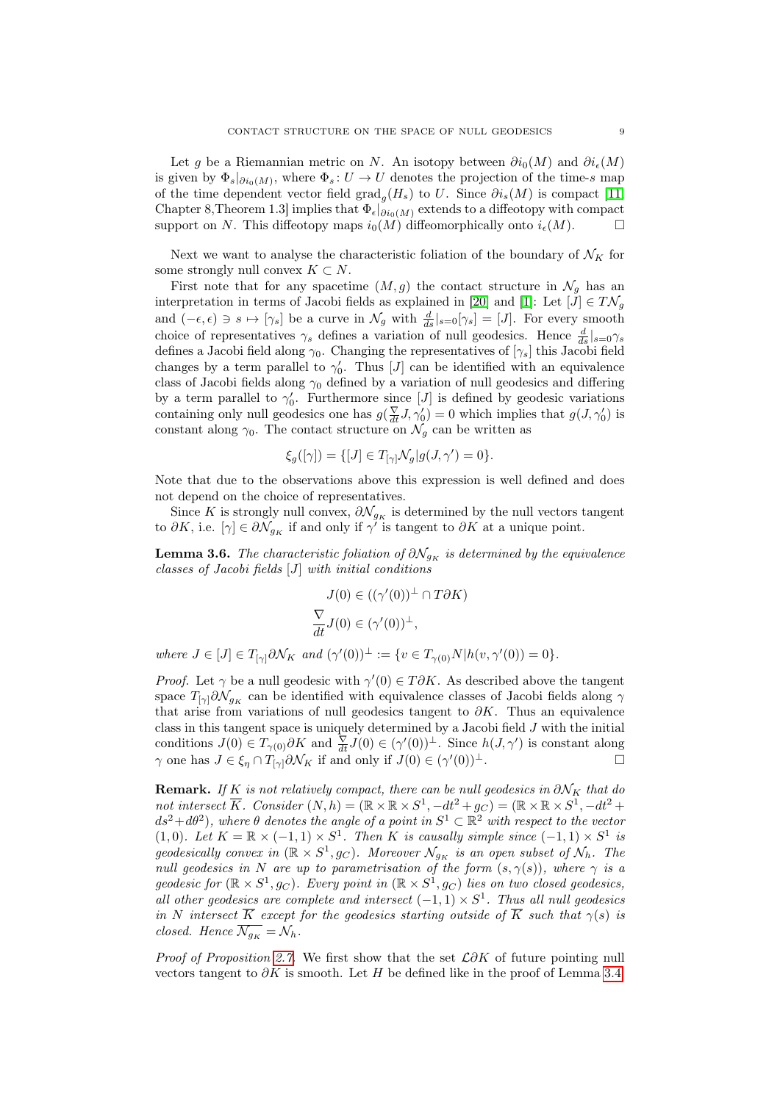Let g be a Riemannian metric on N. An isotopy between  $\partial i_0(M)$  and  $\partial i_{\epsilon}(M)$ is given by  $\Phi_s|_{\partial i_0(M)}$ , where  $\Phi_s: U \to U$  denotes the projection of the time-s map of the time dependent vector field  $\text{grad}_g(H_s)$  to U. Since  $\partial i_s(M)$  is compact [\[11,](#page-14-13) Chapter 8,Theorem 1.3] implies that  $\Phi_{\epsilon}|_{\partial i_0(M)}$  extends to a diffeotopy with compact support on N. This diffeotopy maps  $i_0(M)$  diffeomorphically onto  $i_{\epsilon}(M)$ .

Next we want to analyse the characteristic foliation of the boundary of  $\mathcal{N}_K$  for some strongly null convex  $K \subset N$ .

First note that for any spacetime  $(M, g)$  the contact structure in  $\mathcal{N}_g$  has an interpretation in terms of Jacobi fields as explained in [\[20\]](#page-15-0) and [\[1\]](#page-14-1): Let  $[J] \in T\mathcal{N}_g$ and  $(-\epsilon, \epsilon) \ni s \mapsto [\gamma_s]$  be a curve in  $\mathcal{N}_g$  with  $\frac{d}{ds}|_{s=0}[\gamma_s] = [J]$ . For every smooth choice of representatives  $\gamma_s$  defines a variation of null geodesics. Hence  $\frac{d}{ds}|_{s=0}\gamma_s$ defines a Jacobi field along  $\gamma_0$ . Changing the representatives of  $[\gamma_s]$  this Jacobi field changes by a term parallel to  $\gamma'_0$ . Thus [J] can be identified with an equivalence class of Jacobi fields along  $\gamma_0$  defined by a variation of null geodesics and differing by a term parallel to  $\gamma'_0$ . Furthermore since [*J*] is defined by geodesic variations containing only null geodesics one has  $g(\frac{\nabla}{dt}J, \gamma'_0) = 0$  which implies that  $g(J, \gamma'_0)$  is constant along  $\gamma_0$ . The contact structure on  $\mathcal{N}_g$  can be written as

$$
\xi_g([\gamma]) = \{ [J] \in T_{[\gamma]} \mathcal{N}_g | g(J, \gamma') = 0 \}.
$$

Note that due to the observations above this expression is well defined and does not depend on the choice of representatives.

Since K is strongly null convex,  $\partial \mathcal{N}_{g_K}$  is determined by the null vectors tangent to  $\partial K$ , i.e.  $[\gamma] \in \partial \mathcal{N}_{g_K}$  if and only if  $\gamma'$  is tangent to  $\partial K$  at a unique point.

<span id="page-8-0"></span>**Lemma 3.6.** The characteristic foliation of  $\partial \mathcal{N}_{g_K}$  is determined by the equivalence classes of Jacobi fields [J] with initial conditions

$$
J(0) \in ((\gamma'(0))^{\perp} \cap T\partial K)
$$
  

$$
\frac{\nabla}{dt}J(0) \in (\gamma'(0))^{\perp},
$$

where  $J \in [J] \in T_{[\gamma]} \partial \mathcal{N}_K$  and  $(\gamma'(0))^{\perp} := \{ v \in T_{\gamma(0)} N | h(v, \gamma'(0)) = 0 \}.$ 

*Proof.* Let  $\gamma$  be a null geodesic with  $\gamma'(0) \in T\partial K$ . As described above the tangent space  $T_{\gamma} \partial \mathcal{N}_{g_K}$  can be identified with equivalence classes of Jacobi fields along  $\gamma$ that arise from variations of null geodesics tangent to  $\partial K$ . Thus an equivalence class in this tangent space is uniquely determined by a Jacobi field  $J$  with the initial conditions  $J(0) \in T_{\gamma(0)} \partial K$  and  $\frac{\nabla}{dt} J(0) \in (\gamma'(0))^{\perp}$ . Since  $h(J, \gamma')$  is constant along  $\gamma$  one has  $J \in \xi_{\eta} \cap T_{[\gamma]} \partial \mathcal{N}_K$  if and only if  $J(0) \in (\gamma'(0))^{\perp}$ .

**Remark.** If K is not relatively compact, there can be null geodesics in  $\partial N_K$  that do not intersect  $\overline{K}$ . Consider  $(N, h) = (\mathbb{R} \times \mathbb{R} \times S^1, -dt^2 + g_C) = (\mathbb{R} \times \mathbb{R} \times S^1, -dt^2 +$  $ds^2 + d\theta^2$ , where  $\theta$  denotes the angle of a point in  $S^1 \subset \mathbb{R}^2$  with respect to the vector (1,0). Let  $K = \mathbb{R} \times (-1,1) \times S^1$ . Then K is causally simple since  $(-1,1) \times S^1$  is geodesically convex in  $(\mathbb{R} \times S^1, g_C)$ . Moreover  $\mathcal{N}_{g_K}$  is an open subset of  $\mathcal{N}_h$ . The null geodesics in N are up to parametrisation of the form  $(s, \gamma(s))$ , where  $\gamma$  is a geodesic for  $(\mathbb{R} \times S^1, g_C)$ . Every point in  $(\mathbb{R} \times S^1, g_C)$  lies on two closed geodesics, all other geodesics are complete and intersect  $(-1,1) \times S^1$ . Thus all null geodesics in N intersect  $\overline{K}$  except for the geodesics starting outside of  $\overline{K}$  such that  $\gamma(s)$  is closed. Hence  $\overline{\mathcal{N}_{g_K}} = \mathcal{N}_h$ .

*Proof of Proposition [2.7.](#page-4-2)* We first show that the set  $\mathcal{L}\partial K$  of future pointing null vectors tangent to  $\partial K$  is smooth. Let H be defined like in the proof of Lemma [3.4.](#page-6-0)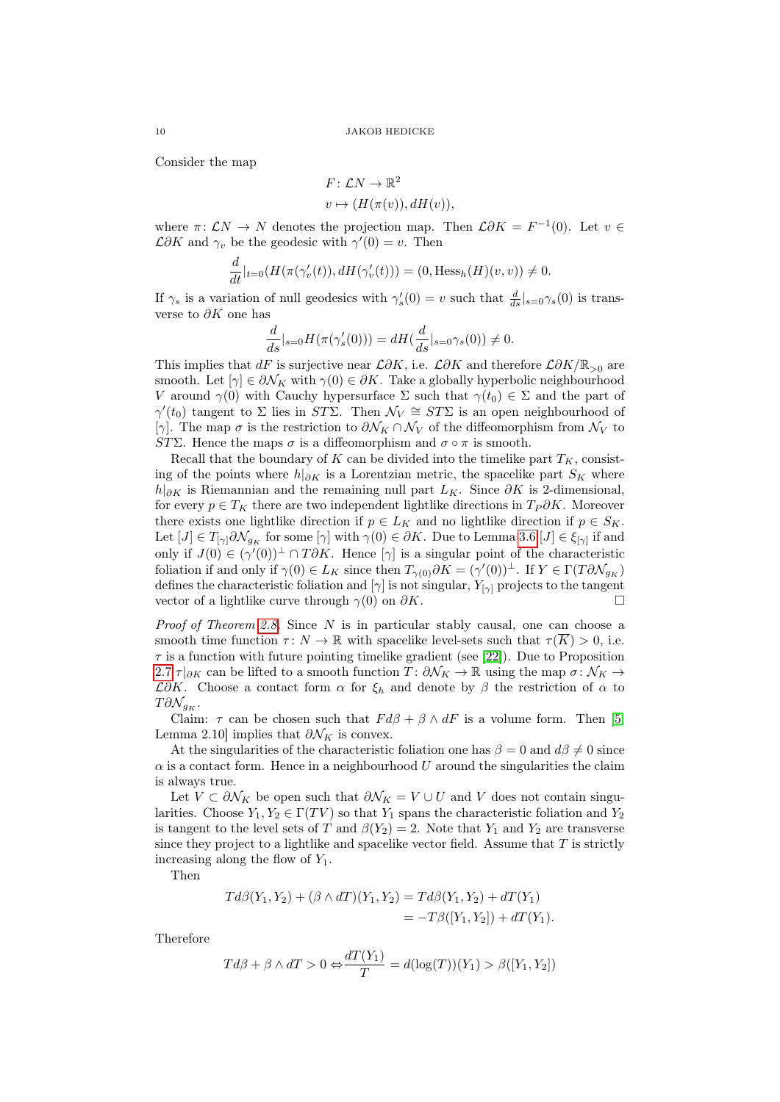Consider the map

$$
F: \mathcal{L}N \to \mathbb{R}^2
$$
  

$$
v \mapsto (H(\pi(v)), dH(v)),
$$

where  $\pi: \mathcal{L}N \to N$  denotes the projection map. Then  $\mathcal{L}\partial K = F^{-1}(0)$ . Let  $v \in$  $\mathcal{L}\partial K$  and  $\gamma_v$  be the geodesic with  $\gamma'(0) = v$ . Then

$$
\frac{d}{dt}|_{t=0}(H(\pi(\gamma'_v(t)), dH(\gamma'_v(t))) = (0, \text{Hess}_h(H)(v, v)) \neq 0.
$$

If  $\gamma_s$  is a variation of null geodesics with  $\gamma_s'(0) = v$  such that  $\frac{d}{ds}|_{s=0}\gamma_s(0)$  is transverse to  $\partial K$  one has

$$
\frac{d}{ds}|_{s=0}H(\pi(\gamma_s'(0))) = dH(\frac{d}{ds}|_{s=0}\gamma_s(0)) \neq 0.
$$

This implies that dF is surjective near  $\mathcal{L}\partial K$ , i.e.  $\mathcal{L}\partial K$  and therefore  $\mathcal{L}\partial K/\mathbb{R}_{>0}$  are smooth. Let  $[\gamma] \in \partial \mathcal{N}_K$  with  $\gamma(0) \in \partial K$ . Take a globally hyperbolic neighbourhood V around  $\gamma(0)$  with Cauchy hypersurface  $\Sigma$  such that  $\gamma(t_0) \in \Sigma$  and the part of  $\gamma'(t_0)$  tangent to  $\Sigma$  lies in  $ST\Sigma$ . Then  $\mathcal{N}_V \cong ST\Sigma$  is an open neighbourhood of [γ]. The map  $\sigma$  is the restriction to  $\partial \mathcal{N}_K \cap \mathcal{N}_V$  of the diffeomorphism from  $\mathcal{N}_V$  to STΣ. Hence the maps  $\sigma$  is a diffeomorphism and  $\sigma \circ \pi$  is smooth.

Recall that the boundary of K can be divided into the timelike part  $T_K$ , consisting of the points where  $h|_{\partial K}$  is a Lorentzian metric, the spacelike part  $S_K$  where  $h|_{\partial K}$  is Riemannian and the remaining null part  $L_K$ . Since  $\partial K$  is 2-dimensional, for every  $p \in T_K$  there are two independent lightlike directions in  $T_P \partial K$ . Moreover there exists one lightlike direction if  $p \in L_K$  and no lightlike direction if  $p \in S_K$ . Let  $[J] \in T_{[\gamma]} \partial \mathcal{N}_{g_K}$  for some  $[\gamma]$  with  $\gamma(0) \in \partial K$ . Due to Lemma [3.6](#page-8-0)  $[J] \in \xi_{[\gamma]}$  if and only if  $J(0) \in (\gamma'(0))^{\perp} \cap T\partial K$ . Hence  $[\gamma]$  is a singular point of the characteristic foliation if and only if  $\gamma(0) \in L_K$  since then  $T_{\gamma(0)} \partial K = (\gamma'(0))^{\perp}$ . If  $Y \in \Gamma(T \partial \mathcal{N}_{g_K})$ defines the characteristic foliation and  $[\gamma]$  is not singular,  $Y_{[\gamma]}$  projects to the tangent vector of a lightlike curve through  $\gamma(0)$  on  $\partial K$ .

*Proof of Theorem [2.8.](#page-4-0)* Since  $N$  is in particular stably causal, one can choose a smooth time function  $\tau \colon N \to \mathbb{R}$  with spacelike level-sets such that  $\tau(\overline{K}) > 0$ , i.e.  $\tau$  is a function with future pointing timelike gradient (see [\[22\]](#page-15-1)). Due to Proposition [2.7](#page-4-2)  $\tau|_{\partial K}$  can be lifted to a smooth function  $T: \partial \mathcal{N}_K \to \mathbb{R}$  using the map  $\sigma: \mathcal{N}_K \to$  $\mathcal{L}\partial K$ . Choose a contact form  $\alpha$  for  $\xi_h$  and denote by  $\beta$  the restriction of  $\alpha$  to  $T\partial \mathcal{N}_{q_K}$ .

Claim:  $\tau$  can be chosen such that  $Fd\beta + \beta \wedge dF$  is a volume form. Then [\[5,](#page-14-10) Lemma 2.10] implies that  $\partial \mathcal{N}_K$  is convex.

At the singularities of the characteristic foliation one has  $\beta = 0$  and  $d\beta \neq 0$  since  $\alpha$  is a contact form. Hence in a neighbourhood U around the singularities the claim is always true.

Let  $V \subset \partial \mathcal{N}_K$  be open such that  $\partial \mathcal{N}_K = V \cup U$  and V does not contain singularities. Choose  $Y_1, Y_2 \in \Gamma(TV)$  so that  $Y_1$  spans the characteristic foliation and  $Y_2$ is tangent to the level sets of T and  $\beta(Y_2) = 2$ . Note that Y<sub>1</sub> and Y<sub>2</sub> are transverse since they project to a lightlike and spacelike vector field. Assume that  $T$  is strictly increasing along the flow of  $Y_1$ .

Then

$$
Td\beta(Y_1, Y_2) + (\beta \wedge dT)(Y_1, Y_2) = Td\beta(Y_1, Y_2) + dT(Y_1) = -T\beta([Y_1, Y_2]) + dT(Y_1).
$$

Therefore

$$
Td\beta + \beta \wedge dT > 0 \Leftrightarrow \frac{dT(Y_1)}{T} = d(\log(T))(Y_1) > \beta([Y_1, Y_2])
$$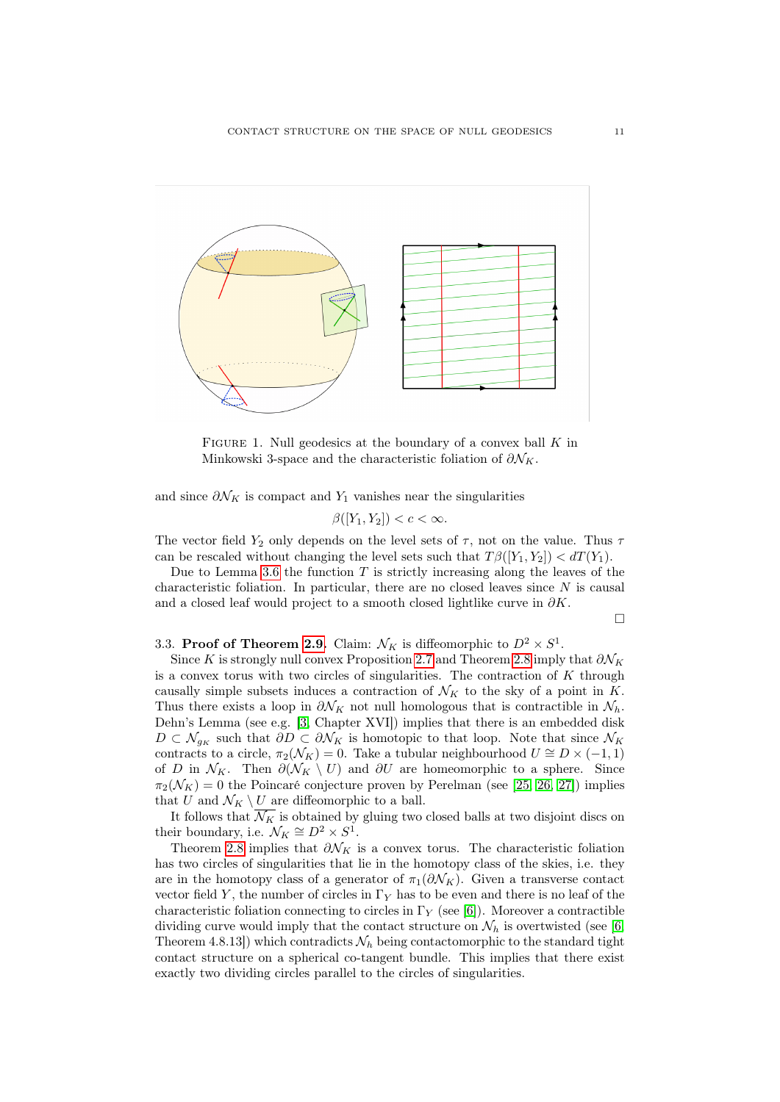

<span id="page-10-0"></span>FIGURE 1. Null geodesics at the boundary of a convex ball  $K$  in Minkowski 3-space and the characteristic foliation of  $\partial \mathcal{N}_K$ .

and since  $\partial \mathcal{N}_K$  is compact and  $Y_1$  vanishes near the singularities

$$
\beta([Y_1, Y_2]) < c < \infty.
$$

The vector field  $Y_2$  only depends on the level sets of  $\tau$ , not on the value. Thus  $\tau$ can be rescaled without changing the level sets such that  $T\beta([Y_1, Y_2]) < dT(Y_1)$ .

Due to Lemma [3.6](#page-8-0) the function  $T$  is strictly increasing along the leaves of the characteristic foliation. In particular, there are no closed leaves since  $N$  is causal and a closed leaf would project to a smooth closed lightlike curve in  $\partial K$ .

 $\Box$ 

# 3.3. Proof of Theorem [2.9.](#page-4-1) Claim:  $\mathcal{N}_K$  is diffeomorphic to  $D^2 \times S^1$ .

Since K is strongly null convex Proposition [2.7](#page-4-2) and Theorem [2.8](#page-4-0) imply that  $\partial \mathcal{N}_K$ is a convex torus with two circles of singularities. The contraction of  $K$  through causally simple subsets induces a contraction of  $\mathcal{N}_K$  to the sky of a point in K. Thus there exists a loop in  $\partial \mathcal{N}_K$  not null homologous that is contractible in  $\mathcal{N}_h$ . Dehn's Lemma (see e.g. [\[3,](#page-14-14) Chapter XVI]) implies that there is an embedded disk  $D \subset \mathcal{N}_{g_K}$  such that  $\partial D \subset \partial \mathcal{N}_K$  is homotopic to that loop. Note that since  $\mathcal{N}_K$ contracts to a circle,  $\pi_2(\mathcal{N}_K) = 0$ . Take a tubular neighbourhood  $U \cong D \times (-1,1)$ of D in  $\mathcal{N}_K$ . Then  $\partial(\mathcal{N}_K \setminus U)$  and  $\partial U$  are homeomorphic to a sphere. Since  $\pi_2(\mathcal{N}_K) = 0$  the Poincaré conjecture proven by Perelman (see [\[25,](#page-15-6) [26,](#page-15-7) [27\]](#page-15-8)) implies that U and  $\mathcal{N}_K \setminus U$  are diffeomorphic to a ball.

It follows that  $\overline{\mathcal{N}_K}$  is obtained by gluing two closed balls at two disjoint discs on their boundary, i.e.  $\mathcal{N}_K \cong D^2 \times S^1$ .

Theorem [2.8](#page-4-0) implies that  $\partial \mathcal{N}_K$  is a convex torus. The characteristic foliation has two circles of singularities that lie in the homotopy class of the skies, i.e. they are in the homotopy class of a generator of  $\pi_1(\partial \mathcal{N}_K)$ . Given a transverse contact vector field Y, the number of circles in  $\Gamma_Y$  has to be even and there is no leaf of the characteristic foliation connecting to circles in  $\Gamma_Y$  (see [\[6\]](#page-14-8)). Moreover a contractible dividing curve would imply that the contact structure on  $\mathcal{N}_h$  is overtwisted (see [\[6,](#page-14-8) Theorem 4.8.13]) which contradicts  $\mathcal{N}_h$  being contactomorphic to the standard tight contact structure on a spherical co-tangent bundle. This implies that there exist exactly two dividing circles parallel to the circles of singularities.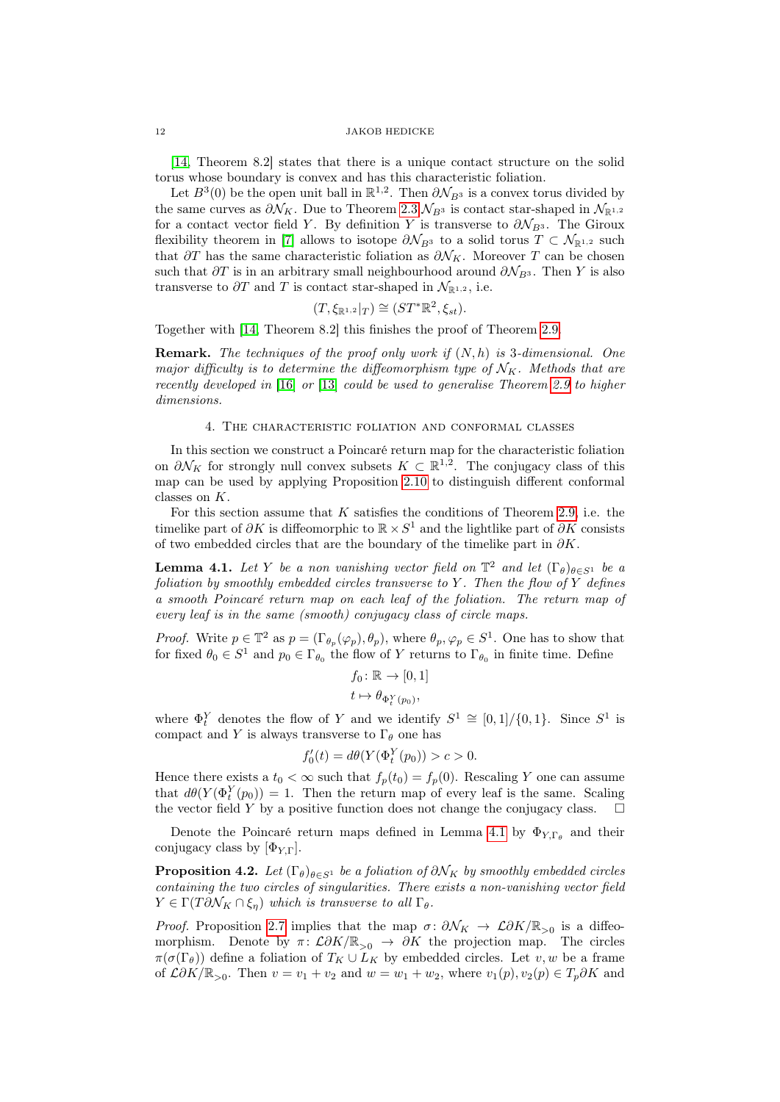[\[14,](#page-14-11) Theorem 8.2] states that there is a unique contact structure on the solid torus whose boundary is convex and has this characteristic foliation.

Let  $B^3(0)$  be the open unit ball in  $\mathbb{R}^{1,2}$ . Then  $\partial \mathcal{N}_{B^3}$  is a convex torus divided by the same curves as  $\partial \mathcal{N}_K$ . Due to Theorem [2.3](#page-3-0)  $\mathcal{N}_{B^3}$  is contact star-shaped in  $\mathcal{N}_{\mathbb{R}^{1,2}}$ for a contact vector field Y. By definition Y is transverse to  $\partial \mathcal{N}_{B3}$ . The Giroux flexibility theorem in [\[7\]](#page-14-3) allows to isotope  $\partial \mathcal{N}_{B3}$  to a solid torus  $T \subset \mathcal{N}_{\mathbb{R}^{1,2}}$  such that  $\partial T$  has the same characteristic foliation as  $\partial \mathcal{N}_K$ . Moreover T can be chosen such that  $\partial T$  is in an arbitrary small neighbourhood around  $\partial \mathcal{N}_{B3}$ . Then Y is also transverse to  $\partial T$  and T is contact star-shaped in  $\mathcal{N}_{\mathbb{R}^{1,2}}$ , i.e.

$$
(T, \xi_{\mathbb{R}^{1,2}}|_T) \cong (ST^*\mathbb{R}^2, \xi_{st}).
$$

Together with [\[14,](#page-14-11) Theorem 8.2] this finishes the proof of Theorem [2.9.](#page-4-1)

**Remark.** The techniques of the proof only work if  $(N, h)$  is 3-dimensional. One major difficulty is to determine the diffeomorphism type of  $\mathcal{N}_K$ . Methods that are recently developed in [\[16\]](#page-14-15) or [\[13\]](#page-14-16) could be used to generalise Theorem [2.9](#page-4-1) to higher dimensions.

#### 4. The characteristic foliation and conformal classes

In this section we construct a Poincaré return map for the characteristic foliation on  $\partial \mathcal{N}_K$  for strongly null convex subsets  $K \subset \mathbb{R}^{1,2}$ . The conjugacy class of this map can be used by applying Proposition [2.10](#page-5-0) to distinguish different conformal classes on K.

For this section assume that  $K$  satisfies the conditions of Theorem [2.9,](#page-4-1) i.e. the timelike part of  $\partial K$  is diffeomorphic to  $\mathbb{R} \times S^1$  and the lightlike part of  $\partial K$  consists of two embedded circles that are the boundary of the timelike part in  $\partial K$ .

<span id="page-11-0"></span>**Lemma 4.1.** Let Y be a non vanishing vector field on  $\mathbb{T}^2$  and let  $(\Gamma_{\theta})_{\theta \in S^1}$  be a foliation by smoothly embedded circles transverse to Y. Then the flow of Y defines a smooth Poincaré return map on each leaf of the foliation. The return map of every leaf is in the same (smooth) conjugacy class of circle maps.

*Proof.* Write  $p \in \mathbb{T}^2$  as  $p = (\Gamma_{\theta_p}(\varphi_p), \theta_p)$ , where  $\theta_p, \varphi_p \in S^1$ . One has to show that for fixed  $\theta_0 \in S^1$  and  $p_0 \in \Gamma_{\theta_0}$  the flow of Y returns to  $\Gamma_{\theta_0}$  in finite time. Define

$$
f_0 \colon \mathbb{R} \to [0, 1]
$$

$$
t \mapsto \theta_{\Phi_t^Y(p_0)},
$$

where  $\Phi_t^Y$  denotes the flow of Y and we identify  $S^1 \cong [0,1]/\{0,1\}$ . Since  $S^1$  is compact and Y is always transverse to  $\Gamma_{\theta}$  one has

$$
f_0'(t) = d\theta(Y(\Phi_t^Y(p_0)) > c > 0.
$$

Hence there exists a  $t_0 < \infty$  such that  $f_p(t_0) = f_p(0)$ . Rescaling Y one can assume that  $d\theta(Y(\Phi_t^Y(p_0)) = 1$ . Then the return map of every leaf is the same. Scaling the vector field Y by a positive function does not change the conjugacy class.

Denote the Poincaré return maps defined in Lemma [4.1](#page-11-0) by  $\Phi_{Y,\Gamma_\theta}$  and their conjugacy class by  $[\Phi_{Y,\Gamma}]$ .

**Proposition 4.2.** Let  $(\Gamma_{\theta})_{\theta \in S^1}$  be a foliation of  $\partial \mathcal{N}_K$  by smoothly embedded circles containing the two circles of singularities. There exists a non-vanishing vector field  $Y \in \Gamma(T \partial \mathcal{N}_K \cap \xi_n)$  which is transverse to all  $\Gamma_{\theta}$ .

*Proof.* Proposition [2.7](#page-4-2) implies that the map  $\sigma: \partial \mathcal{N}_K \to \mathcal{L} \partial K / \mathbb{R}_{>0}$  is a diffeomorphism. Denote by  $\pi: \mathcal{L}\partial K/\mathbb{R}_{>0} \rightarrow \partial K$  the projection map. The circles  $\pi(\sigma(\Gamma_\theta))$  define a foliation of  $T_K \cup L_K$  by embedded circles. Let v, w be a frame of  $\mathcal{L}\partial K/\mathbb{R}_{>0}$ . Then  $v = v_1 + v_2$  and  $w = w_1 + w_2$ , where  $v_1(p), v_2(p) \in T_p \partial K$  and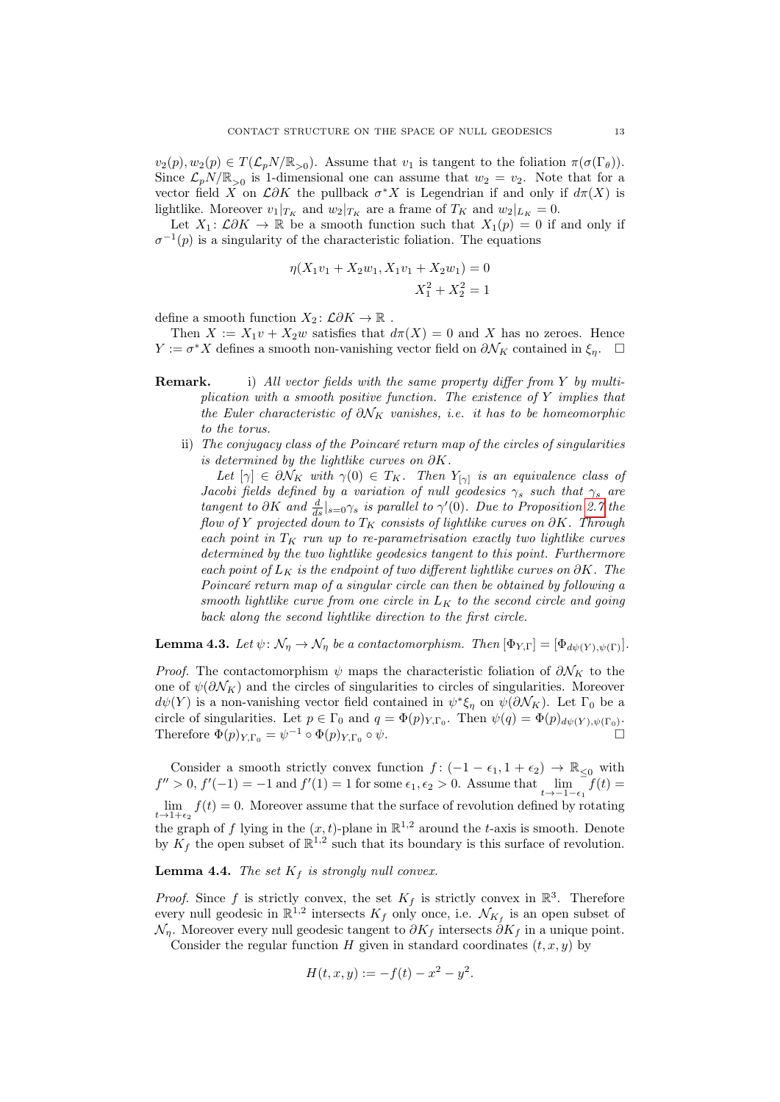$v_2(p), w_2(p) \in T(\mathcal{L}_p N/\mathbb{R}_{>0}).$  Assume that  $v_1$  is tangent to the foliation  $\pi(\sigma(\Gamma_\theta)).$ Since  $\mathcal{L}_p N/\mathbb{R}_{>0}$  is 1-dimensional one can assume that  $w_2 = v_2$ . Note that for a vector field X on  $\mathcal{L}\partial K$  the pullback  $\sigma^*X$  is Legendrian if and only if  $d\pi(X)$  is lightlike. Moreover  $v_1|_{T_K}$  and  $w_2|_{T_K}$  are a frame of  $T_K$  and  $w_2|_{L_K} = 0$ .

Let  $X_1: \mathcal{L}\partial K \to \mathbb{R}$  be a smooth function such that  $X_1(p) = 0$  if and only if  $\sigma^{-1}(p)$  is a singularity of the characteristic foliation. The equations

$$
\eta(X_1v_1 + X_2w_1, X_1v_1 + X_2w_1) = 0
$$
  

$$
X_1^2 + X_2^2 = 1
$$

define a smooth function  $X_2: \mathcal{L}\partial K \to \mathbb{R}$ .

Then  $X := X_1v + X_2w$  satisfies that  $d\pi(X) = 0$  and X has no zeroes. Hence  $Y := \sigma^* X$  defines a smooth non-vanishing vector field on  $\partial \mathcal{N}_K$  contained in  $\xi_{\eta}$ . □

- **Remark.** i) All vector fields with the same property differ from Y by multiplication with a smooth positive function. The existence of  $Y$  implies that the Euler characteristic of  $\partial \mathcal{N}_K$  vanishes, i.e. it has to be homeomorphic to the torus.
	- ii) The conjugacy class of the Poincaré return map of the circles of singularities is determined by the lightlike curves on  $\partial K$ .

Let  $[\gamma] \in \partial \mathcal{N}_K$  with  $\gamma(0) \in T_K$ . Then  $Y_{[\gamma]}$  is an equivalence class of Jacobi fields defined by a variation of null geodesics  $\gamma_s$  such that  $\gamma_s$  are tangent to  $\partial K$  and  $\frac{d}{ds}|_{s=0}\gamma_s$  is parallel to  $\gamma'(0)$ . Due to Proposition [2.7](#page-4-2) the flow of Y projected down to  $T_K$  consists of lightlike curves on  $\partial K$ . Through each point in  $T_K$  run up to re-parametrisation exactly two lightlike curves determined by the two lightlike geodesics tangent to this point. Furthermore each point of  $L_K$  is the endpoint of two different lightlike curves on  $\partial K$ . The Poincaré return map of a singular circle can then be obtained by following a smooth lightlike curve from one circle in  $L_K$  to the second circle and going back along the second lightlike direction to the first circle.

**Lemma 4.3.** Let  $\psi \colon \mathcal{N}_{\eta} \to \mathcal{N}_{\eta}$  be a contactomorphism. Then  $[\Phi_{Y,\Gamma}] = [\Phi_{d\psi(Y),\psi(\Gamma)}].$ 

*Proof.* The contactomorphism  $\psi$  maps the characteristic foliation of  $\partial \mathcal{N}_K$  to the one of  $\psi(\partial \mathcal{N}_K)$  and the circles of singularities to circles of singularities. Moreover  $d\psi(Y)$  is a non-vanishing vector field contained in  $\psi^*\xi_\eta$  on  $\psi(\partial \mathcal{N}_K)$ . Let  $\Gamma_0$  be a circle of singularities. Let  $p \in \Gamma_0$  and  $q = \Phi(p)_{Y,\Gamma_0}$ . Then  $\psi(q) = \Phi(p)_{d\psi(Y), \psi(\Gamma_0)}$ . Therefore  $\Phi(p)_{Y,\Gamma_0} = \psi^{-1} \circ \Phi(p)_{Y,\Gamma_0}$  $\circ \psi$ .

Consider a smooth strictly convex function  $f: (-1 - \epsilon_1, 1 + \epsilon_2) \to \mathbb{R}_{\leq 0}$  with  $f'' > 0$ ,  $f'(-1) = -1$  and  $f'(1) = 1$  for some  $\epsilon_1, \epsilon_2 > 0$ . Assume that  $\lim_{t \to -1-\epsilon_1} f(t) =$  $\lim_{t\to 1+\epsilon_2} f(t) = 0$ . Moreover assume that the surface of revolution defined by rotating the graph of f lying in the  $(x, t)$ -plane in  $\mathbb{R}^{1,2}$  around the t-axis is smooth. Denote by  $K_f$  the open subset of  $\mathbb{R}^{1,2}$  such that its boundary is this surface of revolution.

## **Lemma 4.4.** The set  $K_f$  is strongly null convex.

*Proof.* Since f is strictly convex, the set  $K_f$  is strictly convex in  $\mathbb{R}^3$ . Therefore every null geodesic in  $\mathbb{R}^{1,2}$  intersects  $K_f$  only once, i.e.  $\mathcal{N}_{K_f}$  is an open subset of  $\mathcal{N}_\eta$ . Moreover every null geodesic tangent to  $\partial K_f$  intersects  $\partial K_f$  in a unique point.

Consider the regular function H given in standard coordinates  $(t, x, y)$  by

$$
H(t, x, y) := -f(t) - x^2 - y^2.
$$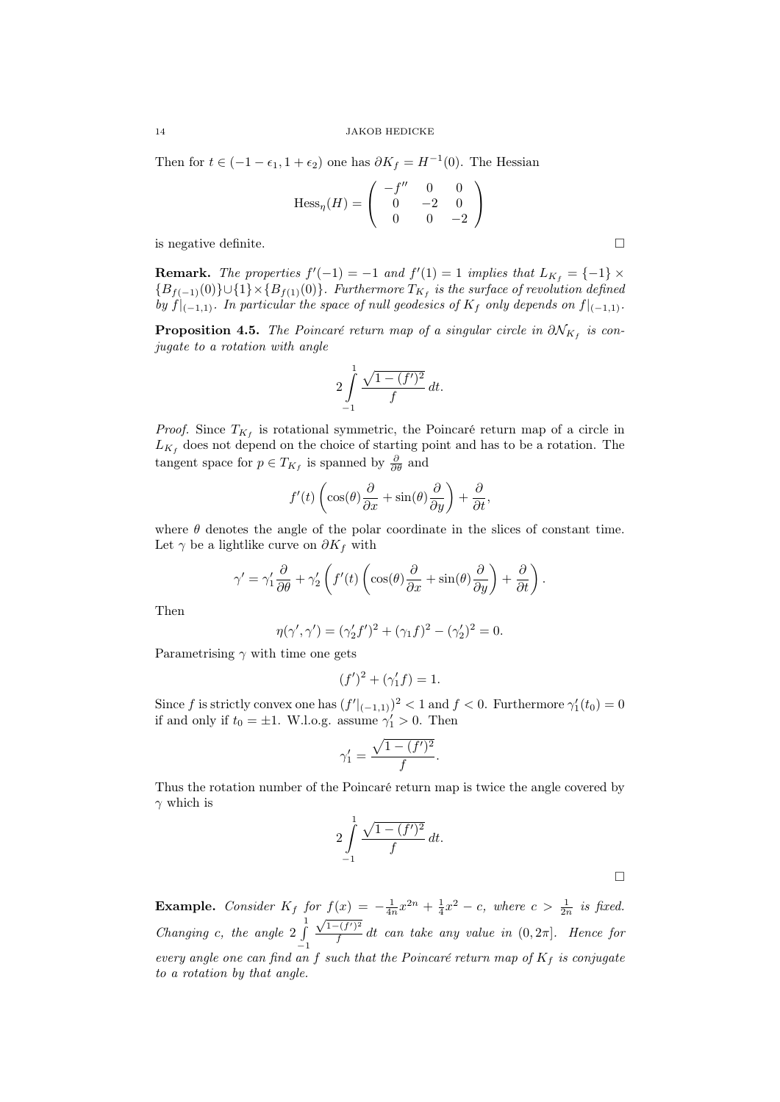Then for  $t \in (-1 - \epsilon_1, 1 + \epsilon_2)$  one has  $\partial K_f = H^{-1}(0)$ . The Hessian

$$
\text{Hess}_{\eta}(H) = \begin{pmatrix} -f'' & 0 & 0 \\ 0 & -2 & 0 \\ 0 & 0 & -2 \end{pmatrix}
$$

is negative definite.

**Remark.** The properties  $f'(-1) = -1$  and  $f'(1) = 1$  implies that  $L_{K_f} = \{-1\} \times$  ${B_{f(-1)}(0)} \cup {1} \times {B_{f(1)}(0)}$ . Furthermore  $T_{K_f}$  is the surface of revolution defined by  $f|_{(-1,1)}$ . In particular the space of null geodesics of  $K_f$  only depends on  $f|_{(-1,1)}$ .

**Proposition 4.5.** The Poincaré return map of a singular circle in  $\partial \mathcal{N}_{K_f}$  is conjugate to a rotation with angle

$$
2\int_{-1}^{1} \frac{\sqrt{1-(f')^2}}{f} dt.
$$

*Proof.* Since  $T_{K_f}$  is rotational symmetric, the Poincaré return map of a circle in  $L_{K_f}$  does not depend on the choice of starting point and has to be a rotation. The tangent space for  $p \in T_{K_f}$  is spanned by  $\frac{\partial}{\partial \theta}$  and

$$
f'(t)\left(\cos(\theta)\frac{\partial}{\partial x} + \sin(\theta)\frac{\partial}{\partial y}\right) + \frac{\partial}{\partial t},
$$

where  $\theta$  denotes the angle of the polar coordinate in the slices of constant time. Let  $\gamma$  be a lightlike curve on  $\partial K_f$  with

$$
\gamma' = \gamma_1' \frac{\partial}{\partial \theta} + \gamma_2' \left( f'(t) \left( \cos(\theta) \frac{\partial}{\partial x} + \sin(\theta) \frac{\partial}{\partial y} \right) + \frac{\partial}{\partial t} \right).
$$

Then

$$
\eta(\gamma', \gamma') = (\gamma_2' f')^2 + (\gamma_1 f)^2 - (\gamma_2')^2 = 0.
$$

Parametrising  $\gamma$  with time one gets

$$
(f')^{2} + (\gamma_{1}'f) = 1.
$$

Since f is strictly convex one has  $(f'|_{(-1,1)})^2 < 1$  and  $f < 0$ . Furthermore  $\gamma'_1(t_0) = 0$ if and only if  $t_0 = \pm 1$ . W.l.o.g. assume  $\gamma'_1 > 0$ . Then

$$
\gamma_1' = \frac{\sqrt{1 - (f')^2}}{f}.
$$

Thus the rotation number of the Poincaré return map is twice the angle covered by  $\gamma$  which is

$$
2\int_{-1}^{1} \frac{\sqrt{1 - (f')^2}}{f} dt.
$$

**Example.** Consider  $K_f$  for  $f(x) = -\frac{1}{4n}x^{2n} + \frac{1}{4}x^2 - c$ , where  $c > \frac{1}{2n}$  is fixed. Changing c, the angle 2  $\int_0^1$ −1  $\sqrt{1-(f')^2}$  $\frac{f(t')-1}{f}$  dt can take any value in  $(0, 2\pi]$ . Hence for every angle one can find an f such that the Poincaré return map of  $K_f$  is conjugate to a rotation by that angle.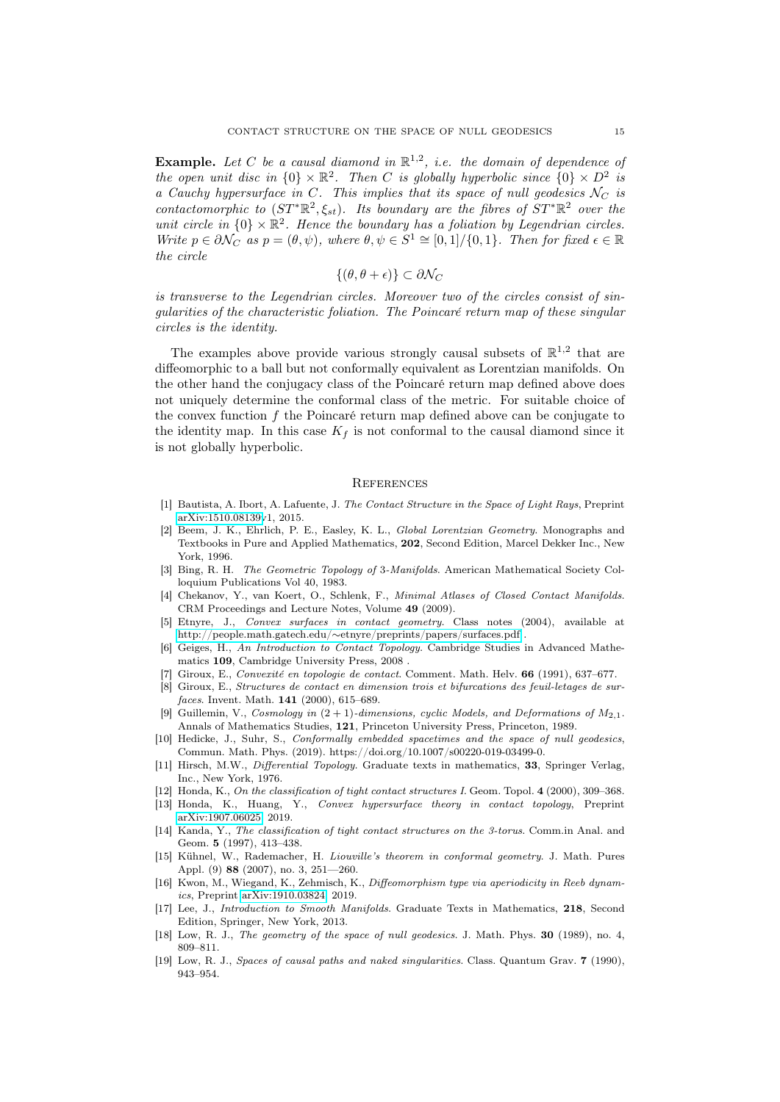**Example.** Let C be a causal diamond in  $\mathbb{R}^{1,2}$ , i.e. the domain of dependence of the open unit disc in  $\{0\} \times \mathbb{R}^2$ . Then C is globally hyperbolic since  $\{0\} \times D^2$  is a Cauchy hypersurface in C. This implies that its space of null geodesics  $N_C$  is contactomorphic to  $(ST^*\mathbb{R}^2, \xi_{st})$ . Its boundary are the fibres of  $ST^*\mathbb{R}^2$  over the unit circle in  $\{0\} \times \mathbb{R}^2$ . Hence the boundary has a foliation by Legendrian circles. Write  $p \in \partial \mathcal{N}_C$  as  $p = (\theta, \psi)$ , where  $\theta, \psi \in S^1 \cong [0, 1] / \{0, 1\}$ . Then for fixed  $\epsilon \in \mathbb{R}$ the circle

$$
\{(\theta,\theta+\epsilon)\}\subset\partial\mathcal{N}_C
$$

is transverse to the Legendrian circles. Moreover two of the circles consist of singularities of the characteristic foliation. The Poincaré return map of these singular circles is the identity.

The examples above provide various strongly causal subsets of  $\mathbb{R}^{1,2}$  that are diffeomorphic to a ball but not conformally equivalent as Lorentzian manifolds. On the other hand the conjugacy class of the Poincaré return map defined above does not uniquely determine the conformal class of the metric. For suitable choice of the convex function  $f$  the Poincaré return map defined above can be conjugate to the identity map. In this case  $K_f$  is not conformal to the causal diamond since it is not globally hyperbolic.

#### **REFERENCES**

- <span id="page-14-1"></span>[1] Bautista, A. Ibort, A. Lafuente, J. The Contact Structure in the Space of Light Rays, Preprint [arXiv:1510.08139v](http://arxiv.org/abs/1510.08139)1, 2015.
- <span id="page-14-9"></span>[2] Beem, J. K., Ehrlich, P. E., Easley, K. L., Global Lorentzian Geometry. Monographs and Textbooks in Pure and Applied Mathematics, 202, Second Edition, Marcel Dekker Inc., New York, 1996.
- <span id="page-14-14"></span>[3] Bing, R. H. The Geometric Topology of 3-Manifolds. American Mathematical Society Colloquium Publications Vol 40, 1983.
- <span id="page-14-2"></span>[4] Chekanov, Y., van Koert, O., Schlenk, F., Minimal Atlases of Closed Contact Manifolds. CRM Proceedings and Lecture Notes, Volume 49 (2009).
- <span id="page-14-10"></span>[5] Etnyre, J., Convex surfaces in contact geometry. Class notes (2004), available at http://people.math.gatech.edu/∼[etnyre/preprints/papers/surfaces.pdf](http://people.math.gatech.edu/~etnyre/preprints/papers/surfaces.pdf) .
- <span id="page-14-8"></span>[6] Geiges, H., An Introduction to Contact Topology. Cambridge Studies in Advanced Mathematics 109, Cambridge University Press, 2008 .
- <span id="page-14-3"></span>[7] Giroux, E., Convexité en topologie de contact. Comment. Math. Helv. 66 (1991), 637–677.
- <span id="page-14-4"></span>[8] Giroux, E., Structures de contact en dimension trois et bifurcations des feuil-letages de surfaces. Invent. Math. **141** (2000), 615-689.
- Guillemin, V., Cosmology in  $(2 + 1)$ -dimensions, cyclic Models, and Deformations of M<sub>2,1</sub>. Annals of Mathematics Studies, 121, Princeton University Press, Princeton, 1989.
- <span id="page-14-0"></span>[10] Hedicke, J., Suhr, S., Conformally embedded spacetimes and the space of null geodesics. Commun. Math. Phys. (2019). https://doi.org/10.1007/s00220-019-03499-0.
- <span id="page-14-13"></span>[11] Hirsch, M.W., Differential Topology. Graduate texts in mathematics, 33, Springer Verlag, Inc., New York, 1976.
- <span id="page-14-5"></span>[12] Honda, K., On the classification of tight contact structures I. Geom. Topol. 4 (2000), 309–368.
- <span id="page-14-16"></span>[13] Honda, K., Huang, Y., Convex hypersurface theory in contact topology, Preprint [arXiv:1907.06025,](http://arxiv.org/abs/1907.06025) 2019.
- <span id="page-14-11"></span>[14] Kanda, Y., The classification of tight contact structures on the 3-torus. Comm.in Anal. and Geom. 5 (1997), 413–438.
- <span id="page-14-12"></span>[15] Kühnel, W., Rademacher, H. Liouville's theorem in conformal geometry. J. Math. Pures Appl. (9) 88 (2007), no. 3, 251—260.
- <span id="page-14-15"></span>[16] Kwon, M., Wiegand, K., Zehmisch, K., Diffeomorphism type via aperiodicity in Reeb dynamics, Preprint [arXiv:1910.03824,](http://arxiv.org/abs/1910.03824) 2019.
- [17] Lee, J., Introduction to Smooth Manifolds. Graduate Texts in Mathematics, 218, Second Edition, Springer, New York, 2013.
- <span id="page-14-6"></span>[18] Low, R. J., The geometry of the space of null geodesics. J. Math. Phys. 30 (1989), no. 4, 809–811.
- <span id="page-14-7"></span>[19] Low, R. J., Spaces of causal paths and naked singularities. Class. Quantum Grav. 7 (1990), 943–954.